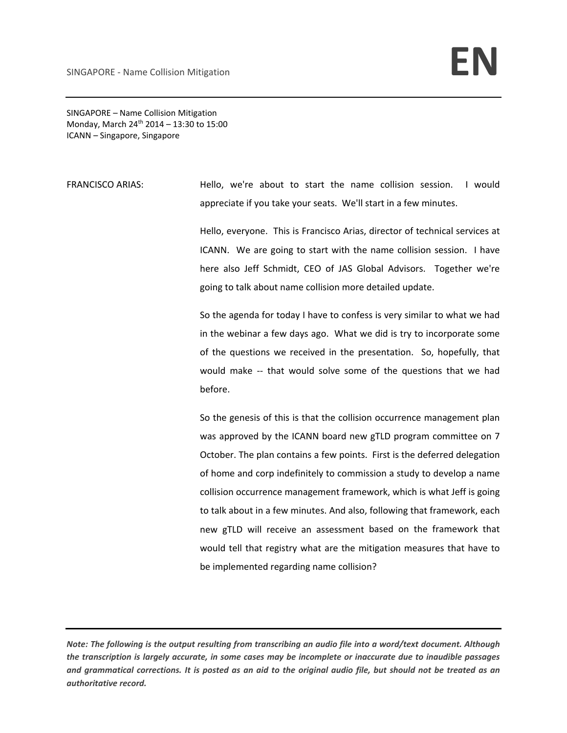SINGAPORE – Name Collision Mitigation Monday, March 24<sup>th</sup> 2014 – 13:30 to 15:00 ICANN – Singapore, Singapore

FRANCISCO ARIAS: Hello, we're about to start the name collision session. I would appreciate if you take your seats. We'll start in a few minutes.

> Hello, everyone. This is Francisco Arias, director of technical services at ICANN. We are going to start with the name collision session. I have here also Jeff Schmidt, CEO of JAS Global Advisors. Together we're going to talk about name collision more detailed update.

> So the agenda for today I have to confess is very similar to what we had in the webinar a few days ago. What we did is try to incorporate some of the questions we received in the presentation. So, hopefully, that would make -- that would solve some of the questions that we had before.

> So the genesis of this is that the collision occurrence management plan was approved by the ICANN board new gTLD program committee on 7 October. The plan contains a few points. First is the deferred delegation of home and corp indefinitely to commission a study to develop a name collision occurrence management framework, which is what Jeff is going to talk about in a few minutes. And also, following that framework, each new gTLD will receive an assessment based on the framework that would tell that registry what are the mitigation measures that have to be implemented regarding name collision?

Note: The following is the output resulting from transcribing an audio file into a word/text document. Although the transcription is largely accurate, in some cases may be incomplete or inaccurate due to inaudible passages and grammatical corrections. It is posted as an aid to the original audio file, but should not be treated as an *authoritative record.*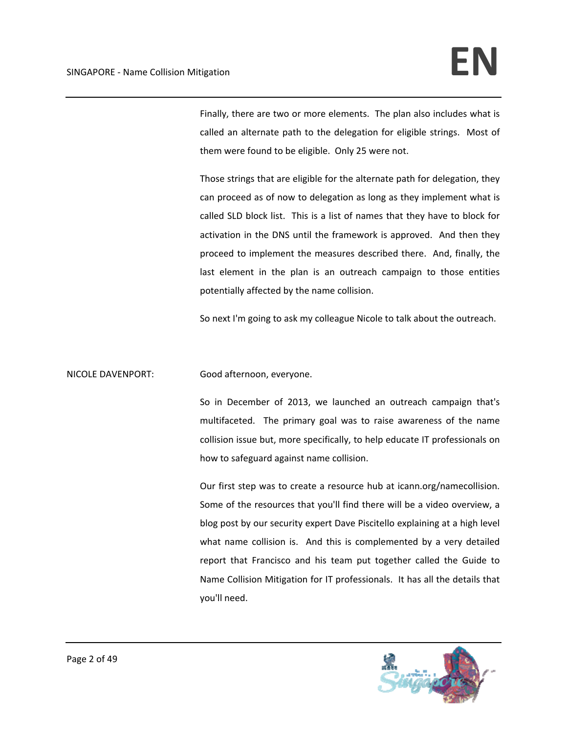Finally, there are two or more elements. The plan also includes what is called an alternate path to the delegation for eligible strings. Most of them were found to be eligible. Only 25 were not.

Those strings that are eligible for the alternate path for delegation, they can proceed as of now to delegation as long as they implement what is called SLD block list. This is a list of names that they have to block for activation in the DNS until the framework is approved. And then they proceed to implement the measures described there. And, finally, the last element in the plan is an outreach campaign to those entities potentially affected by the name collision.

So next I'm going to ask my colleague Nicole to talk about the outreach.

NICOLE DAVENPORT: Good afternoon, everyone.

So in December of 2013, we launched an outreach campaign that's multifaceted. The primary goal was to raise awareness of the name collision issue but, more specifically, to help educate IT professionals on how to safeguard against name collision.

Our first step was to create a resource hub at icann.org/namecollision. Some of the resources that you'll find there will be a video overview, a blog post by our security expert Dave Piscitello explaining at a high level what name collision is. And this is complemented by a very detailed report that Francisco and his team put together called the Guide to Name Collision Mitigation for IT professionals. It has all the details that you'll need.

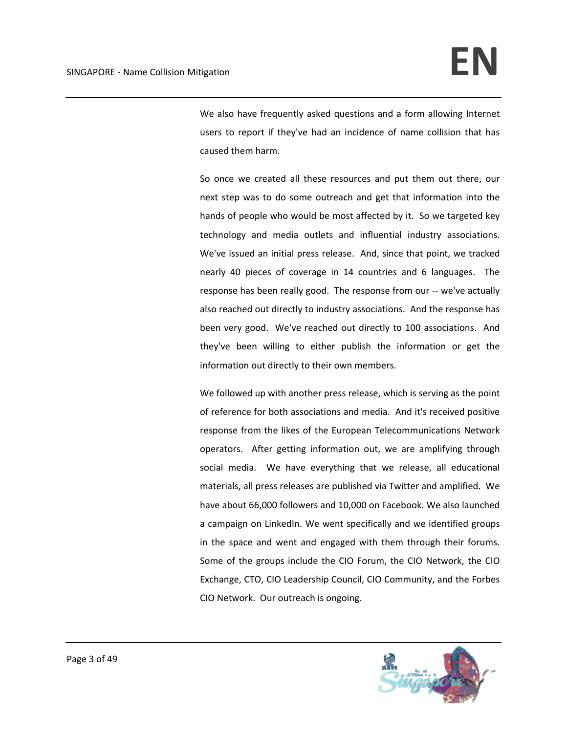We also have frequently asked questions and a form allowing Internet users to report if they've had an incidence of name collision that has caused them harm.

So once we created all these resources and put them out there, our next step was to do some outreach and get that information into the hands of people who would be most affected by it. So we targeted key technology and media outlets and influential industry associations. We've issued an initial press release. And, since that point, we tracked nearly 40 pieces of coverage in 14 countries and 6 languages. The response has been really good. The response from our ‐‐ we've actually also reached out directly to industry associations. And the response has been very good. We've reached out directly to 100 associations. And they've been willing to either publish the information or get the information out directly to their own members.

We followed up with another press release, which is serving as the point of reference for both associations and media. And it's received positive response from the likes of the European Telecommunications Network operators. After getting information out, we are amplifying through social media. We have everything that we release, all educational materials, all press releases are published via Twitter and amplified. We have about 66,000 followers and 10,000 on Facebook. We also launched a campaign on LinkedIn. We went specifically and we identified groups in the space and went and engaged with them through their forums. Some of the groups include the CIO Forum, the CIO Network, the CIO Exchange, CTO, CIO Leadership Council, CIO Community, and the Forbes CIO Network. Our outreach is ongoing.

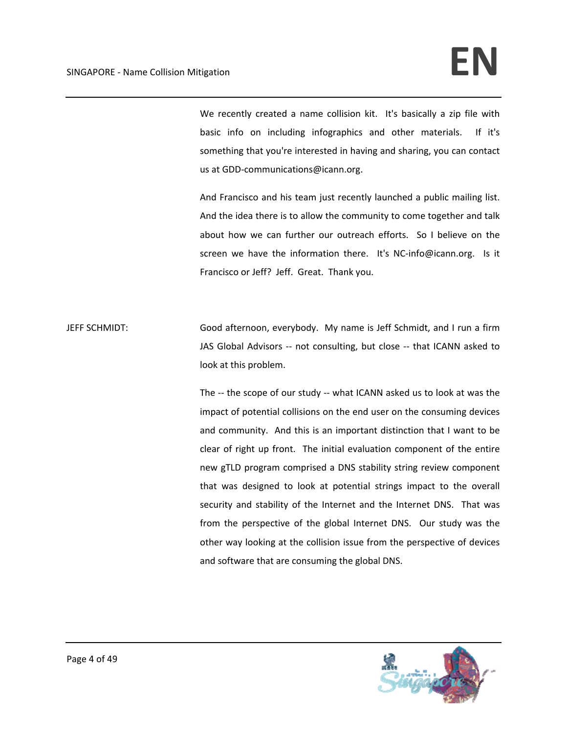We recently created a name collision kit. It's basically a zip file with basic info on including infographics and other materials. If it's something that you're interested in having and sharing, you can contact us at GDD‐communications@icann.org.

And Francisco and his team just recently launched a public mailing list. And the idea there is to allow the community to come together and talk about how we can further our outreach efforts. So I believe on the screen we have the information there. It's NC-info@icann.org. Is it Francisco or Jeff? Jeff. Great. Thank you.

JEFF SCHMIDT: Good afternoon, everybody. My name is Jeff Schmidt, and I run a firm JAS Global Advisors -- not consulting, but close -- that ICANN asked to look at this problem.

> The -- the scope of our study -- what ICANN asked us to look at was the impact of potential collisions on the end user on the consuming devices and community. And this is an important distinction that I want to be clear of right up front. The initial evaluation component of the entire new gTLD program comprised a DNS stability string review component that was designed to look at potential strings impact to the overall security and stability of the Internet and the Internet DNS. That was from the perspective of the global Internet DNS. Our study was the other way looking at the collision issue from the perspective of devices and software that are consuming the global DNS.

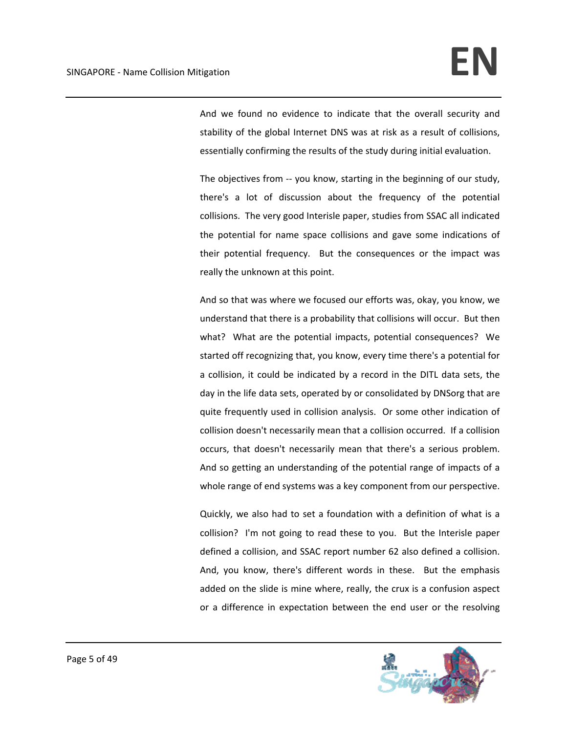And we found no evidence to indicate that the overall security and stability of the global Internet DNS was at risk as a result of collisions, essentially confirming the results of the study during initial evaluation.

The objectives from -- you know, starting in the beginning of our study, there's a lot of discussion about the frequency of the potential collisions. The very good Interisle paper, studies from SSAC all indicated the potential for name space collisions and gave some indications of their potential frequency. But the consequences or the impact was really the unknown at this point.

And so that was where we focused our efforts was, okay, you know, we understand that there is a probability that collisions will occur. But then what? What are the potential impacts, potential consequences? We started off recognizing that, you know, every time there's a potential for a collision, it could be indicated by a record in the DITL data sets, the day in the life data sets, operated by or consolidated by DNSorg that are quite frequently used in collision analysis. Or some other indication of collision doesn't necessarily mean that a collision occurred. If a collision occurs, that doesn't necessarily mean that there's a serious problem. And so getting an understanding of the potential range of impacts of a whole range of end systems was a key component from our perspective.

Quickly, we also had to set a foundation with a definition of what is a collision? I'm not going to read these to you. But the Interisle paper defined a collision, and SSAC report number 62 also defined a collision. And, you know, there's different words in these. But the emphasis added on the slide is mine where, really, the crux is a confusion aspect or a difference in expectation between the end user or the resolving

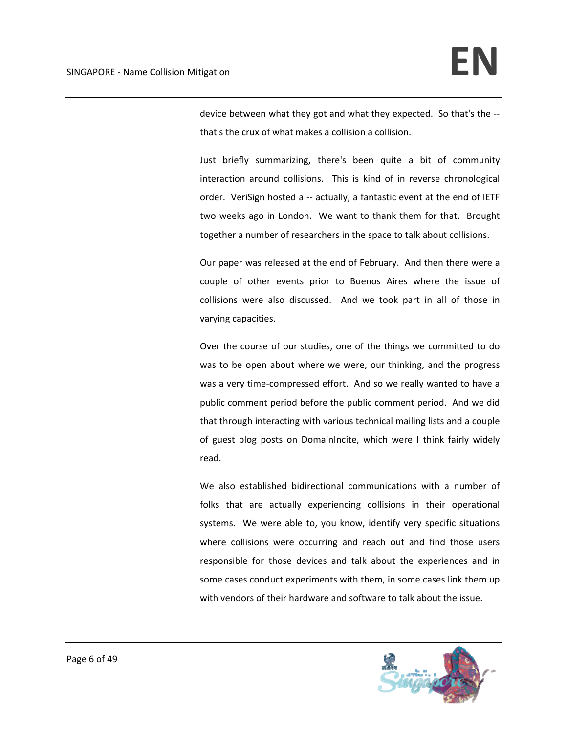device between what they got and what they expected. So that's the ‐‐ that's the crux of what makes a collision a collision.

Just briefly summarizing, there's been quite a bit of community interaction around collisions. This is kind of in reverse chronological order. VeriSign hosted a -- actually, a fantastic event at the end of IETF two weeks ago in London. We want to thank them for that. Brought together a number of researchers in the space to talk about collisions.

Our paper was released at the end of February. And then there were a couple of other events prior to Buenos Aires where the issue of collisions were also discussed. And we took part in all of those in varying capacities.

Over the course of our studies, one of the things we committed to do was to be open about where we were, our thinking, and the progress was a very time‐compressed effort. And so we really wanted to have a public comment period before the public comment period. And we did that through interacting with various technical mailing lists and a couple of guest blog posts on DomainIncite, which were I think fairly widely read.

We also established bidirectional communications with a number of folks that are actually experiencing collisions in their operational systems. We were able to, you know, identify very specific situations where collisions were occurring and reach out and find those users responsible for those devices and talk about the experiences and in some cases conduct experiments with them, in some cases link them up with vendors of their hardware and software to talk about the issue.

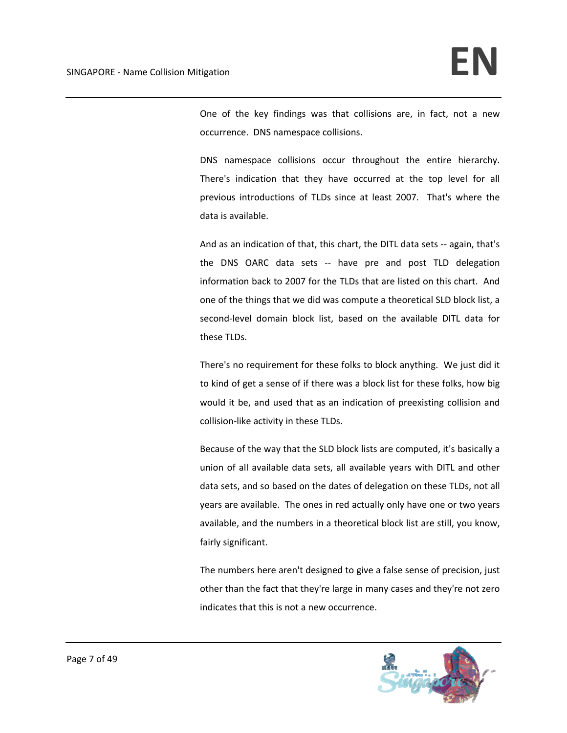One of the key findings was that collisions are, in fact, not a new occurrence. DNS namespace collisions.

DNS namespace collisions occur throughout the entire hierarchy. There's indication that they have occurred at the top level for all previous introductions of TLDs since at least 2007. That's where the data is available.

And as an indication of that, this chart, the DITL data sets ‐‐ again, that's the DNS OARC data sets ‐‐ have pre and post TLD delegation information back to 2007 for the TLDs that are listed on this chart. And one of the things that we did was compute a theoretical SLD block list, a second-level domain block list, based on the available DITL data for these TLDs.

There's no requirement for these folks to block anything. We just did it to kind of get a sense of if there was a block list for these folks, how big would it be, and used that as an indication of preexisting collision and collision‐like activity in these TLDs.

Because of the way that the SLD block lists are computed, it's basically a union of all available data sets, all available years with DITL and other data sets, and so based on the dates of delegation on these TLDs, not all years are available. The ones in red actually only have one or two years available, and the numbers in a theoretical block list are still, you know, fairly significant.

The numbers here aren't designed to give a false sense of precision, just other than the fact that they're large in many cases and they're not zero indicates that this is not a new occurrence.

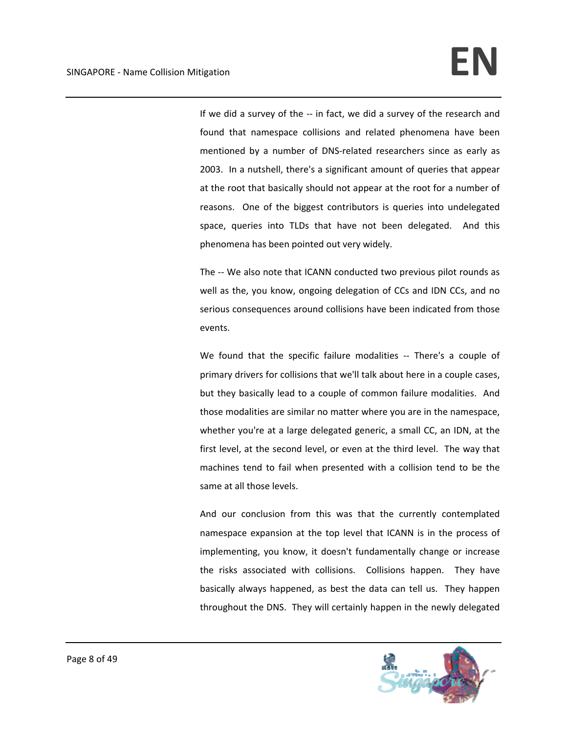If we did a survey of the ‐‐ in fact, we did a survey of the research and found that namespace collisions and related phenomena have been mentioned by a number of DNS‐related researchers since as early as 2003. In a nutshell, there's a significant amount of queries that appear at the root that basically should not appear at the root for a number of reasons. One of the biggest contributors is queries into undelegated space, queries into TLDs that have not been delegated. And this phenomena has been pointed out very widely.

The -- We also note that ICANN conducted two previous pilot rounds as well as the, you know, ongoing delegation of CCs and IDN CCs, and no serious consequences around collisions have been indicated from those events.

We found that the specific failure modalities -- There's a couple of primary drivers for collisions that we'll talk about here in a couple cases, but they basically lead to a couple of common failure modalities. And those modalities are similar no matter where you are in the namespace, whether you're at a large delegated generic, a small CC, an IDN, at the first level, at the second level, or even at the third level. The way that machines tend to fail when presented with a collision tend to be the same at all those levels.

And our conclusion from this was that the currently contemplated namespace expansion at the top level that ICANN is in the process of implementing, you know, it doesn't fundamentally change or increase the risks associated with collisions. Collisions happen. They have basically always happened, as best the data can tell us. They happen throughout the DNS. They will certainly happen in the newly delegated

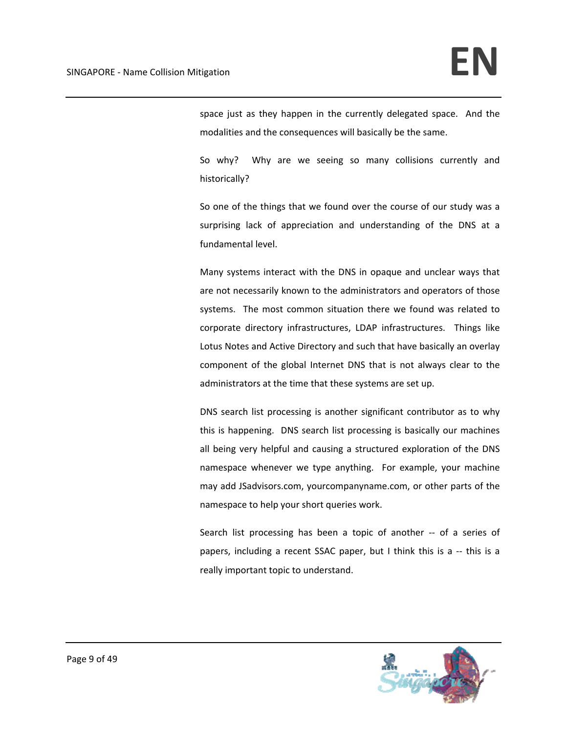space just as they happen in the currently delegated space. And the modalities and the consequences will basically be the same.

So why? Why are we seeing so many collisions currently and historically?

So one of the things that we found over the course of our study was a surprising lack of appreciation and understanding of the DNS at a fundamental level.

Many systems interact with the DNS in opaque and unclear ways that are not necessarily known to the administrators and operators of those systems. The most common situation there we found was related to corporate directory infrastructures, LDAP infrastructures. Things like Lotus Notes and Active Directory and such that have basically an overlay component of the global Internet DNS that is not always clear to the administrators at the time that these systems are set up.

DNS search list processing is another significant contributor as to why this is happening. DNS search list processing is basically our machines all being very helpful and causing a structured exploration of the DNS namespace whenever we type anything. For example, your machine may add JSadvisors.com, yourcompanyname.com, or other parts of the namespace to help your short queries work.

Search list processing has been a topic of another -- of a series of papers, including a recent SSAC paper, but I think this is a ‐‐ this is a really important topic to understand.

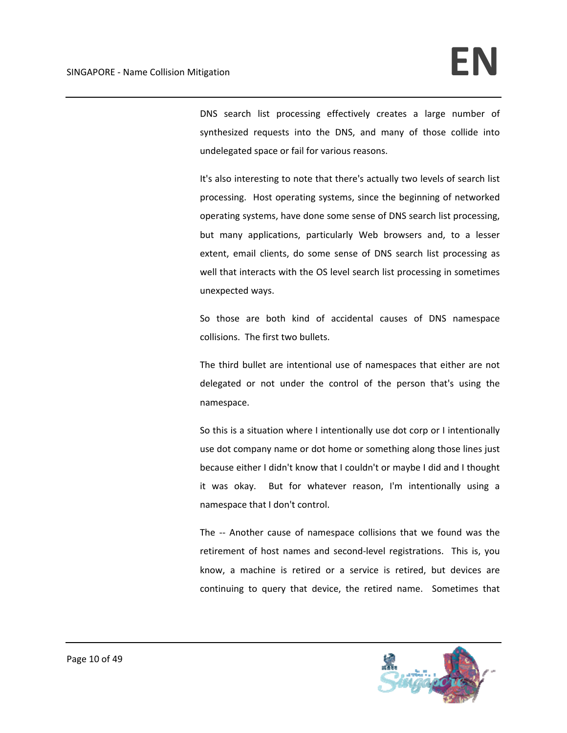DNS search list processing effectively creates a large number of synthesized requests into the DNS, and many of those collide into undelegated space or fail for various reasons.

It's also interesting to note that there's actually two levels of search list processing. Host operating systems, since the beginning of networked operating systems, have done some sense of DNS search list processing, but many applications, particularly Web browsers and, to a lesser extent, email clients, do some sense of DNS search list processing as well that interacts with the OS level search list processing in sometimes unexpected ways.

So those are both kind of accidental causes of DNS namespace collisions. The first two bullets.

The third bullet are intentional use of namespaces that either are not delegated or not under the control of the person that's using the namespace.

So this is a situation where I intentionally use dot corp or I intentionally use dot company name or dot home or something along those lines just because either I didn't know that I couldn't or maybe I did and I thought it was okay. But for whatever reason, I'm intentionally using a namespace that I don't control.

The -- Another cause of namespace collisions that we found was the retirement of host names and second-level registrations. This is, you know, a machine is retired or a service is retired, but devices are continuing to query that device, the retired name. Sometimes that

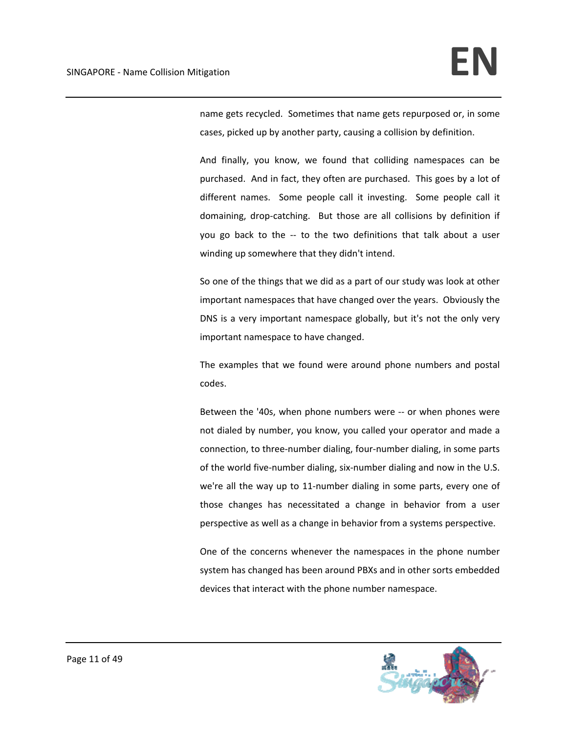name gets recycled. Sometimes that name gets repurposed or, in some cases, picked up by another party, causing a collision by definition.

And finally, you know, we found that colliding namespaces can be purchased. And in fact, they often are purchased. This goes by a lot of different names. Some people call it investing. Some people call it domaining, drop-catching. But those are all collisions by definition if you go back to the ‐‐ to the two definitions that talk about a user winding up somewhere that they didn't intend.

So one of the things that we did as a part of our study was look at other important namespaces that have changed over the years. Obviously the DNS is a very important namespace globally, but it's not the only very important namespace to have changed.

The examples that we found were around phone numbers and postal codes.

Between the '40s, when phone numbers were ‐‐ or when phones were not dialed by number, you know, you called your operator and made a connection, to three‐number dialing, four‐number dialing, in some parts of the world five‐number dialing, six‐number dialing and now in the U.S. we're all the way up to 11-number dialing in some parts, every one of those changes has necessitated a change in behavior from a user perspective as well as a change in behavior from a systems perspective.

One of the concerns whenever the namespaces in the phone number system has changed has been around PBXs and in other sorts embedded devices that interact with the phone number namespace.

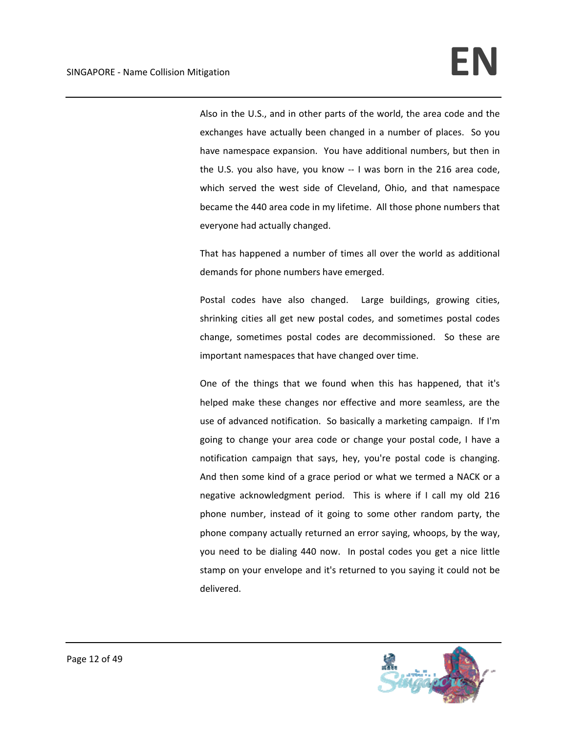Also in the U.S., and in other parts of the world, the area code and the exchanges have actually been changed in a number of places. So you have namespace expansion. You have additional numbers, but then in the U.S. you also have, you know ‐‐ I was born in the 216 area code, which served the west side of Cleveland, Ohio, and that namespace became the 440 area code in my lifetime. All those phone numbers that everyone had actually changed.

That has happened a number of times all over the world as additional demands for phone numbers have emerged.

Postal codes have also changed. Large buildings, growing cities, shrinking cities all get new postal codes, and sometimes postal codes change, sometimes postal codes are decommissioned. So these are important namespaces that have changed over time.

One of the things that we found when this has happened, that it's helped make these changes nor effective and more seamless, are the use of advanced notification. So basically a marketing campaign. If I'm going to change your area code or change your postal code, I have a notification campaign that says, hey, you're postal code is changing. And then some kind of a grace period or what we termed a NACK or a negative acknowledgment period. This is where if I call my old 216 phone number, instead of it going to some other random party, the phone company actually returned an error saying, whoops, by the way, you need to be dialing 440 now. In postal codes you get a nice little stamp on your envelope and it's returned to you saying it could not be delivered.

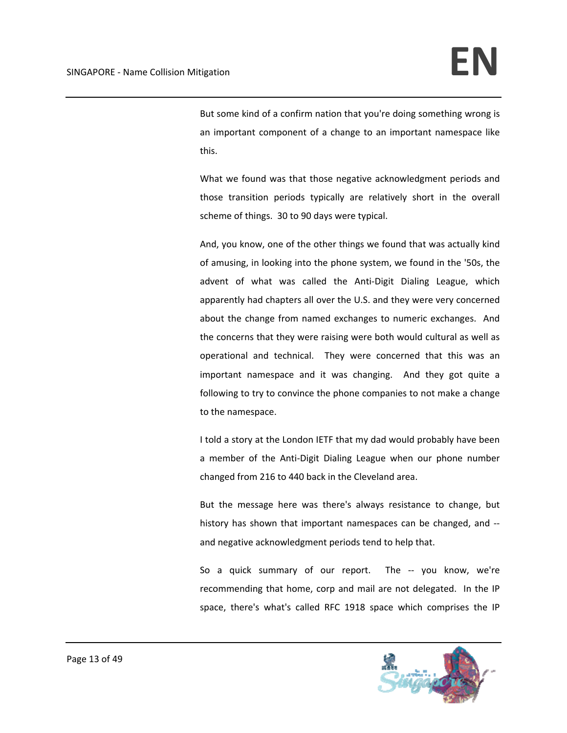But some kind of a confirm nation that you're doing something wrong is an important component of a change to an important namespace like this.

What we found was that those negative acknowledgment periods and those transition periods typically are relatively short in the overall scheme of things. 30 to 90 days were typical.

And, you know, one of the other things we found that was actually kind of amusing, in looking into the phone system, we found in the '50s, the advent of what was called the Anti‐Digit Dialing League, which apparently had chapters all over the U.S. and they were very concerned about the change from named exchanges to numeric exchanges. And the concerns that they were raising were both would cultural as well as operational and technical. They were concerned that this was an important namespace and it was changing. And they got quite a following to try to convince the phone companies to not make a change to the namespace.

I told a story at the London IETF that my dad would probably have been a member of the Anti‐Digit Dialing League when our phone number changed from 216 to 440 back in the Cleveland area.

But the message here was there's always resistance to change, but history has shown that important namespaces can be changed, and ‐‐ and negative acknowledgment periods tend to help that.

So a quick summary of our report. The -- you know, we're recommending that home, corp and mail are not delegated. In the IP space, there's what's called RFC 1918 space which comprises the IP

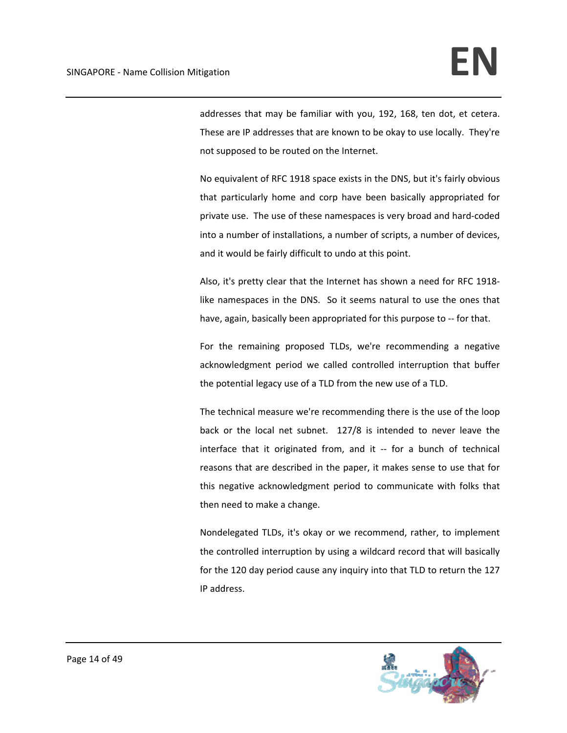addresses that may be familiar with you, 192, 168, ten dot, et cetera. These are IP addresses that are known to be okay to use locally. They're not supposed to be routed on the Internet.

No equivalent of RFC 1918 space exists in the DNS, but it's fairly obvious that particularly home and corp have been basically appropriated for private use. The use of these namespaces is very broad and hard‐coded into a number of installations, a number of scripts, a number of devices, and it would be fairly difficult to undo at this point.

Also, it's pretty clear that the Internet has shown a need for RFC 1918‐ like namespaces in the DNS. So it seems natural to use the ones that have, again, basically been appropriated for this purpose to -- for that.

For the remaining proposed TLDs, we're recommending a negative acknowledgment period we called controlled interruption that buffer the potential legacy use of a TLD from the new use of a TLD.

The technical measure we're recommending there is the use of the loop back or the local net subnet. 127/8 is intended to never leave the interface that it originated from, and it ‐‐ for a bunch of technical reasons that are described in the paper, it makes sense to use that for this negative acknowledgment period to communicate with folks that then need to make a change.

Nondelegated TLDs, it's okay or we recommend, rather, to implement the controlled interruption by using a wildcard record that will basically for the 120 day period cause any inquiry into that TLD to return the 127 IP address.

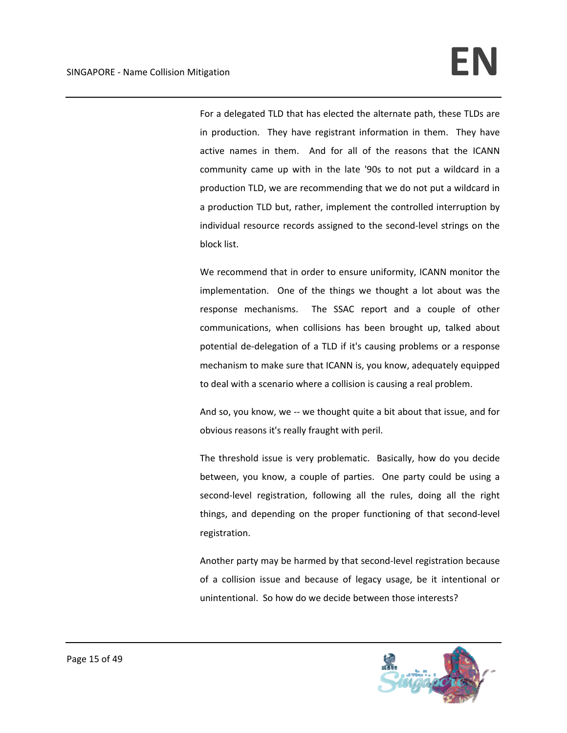For a delegated TLD that has elected the alternate path, these TLDs are in production. They have registrant information in them. They have active names in them. And for all of the reasons that the ICANN community came up with in the late '90s to not put a wildcard in a production TLD, we are recommending that we do not put a wildcard in a production TLD but, rather, implement the controlled interruption by individual resource records assigned to the second‐level strings on the block list.

We recommend that in order to ensure uniformity, ICANN monitor the implementation. One of the things we thought a lot about was the response mechanisms. The SSAC report and a couple of other communications, when collisions has been brought up, talked about potential de‐delegation of a TLD if it's causing problems or a response mechanism to make sure that ICANN is, you know, adequately equipped to deal with a scenario where a collision is causing a real problem.

And so, you know, we -- we thought quite a bit about that issue, and for obvious reasons it's really fraught with peril.

The threshold issue is very problematic. Basically, how do you decide between, you know, a couple of parties. One party could be using a second-level registration, following all the rules, doing all the right things, and depending on the proper functioning of that second‐level registration.

Another party may be harmed by that second‐level registration because of a collision issue and because of legacy usage, be it intentional or unintentional. So how do we decide between those interests?

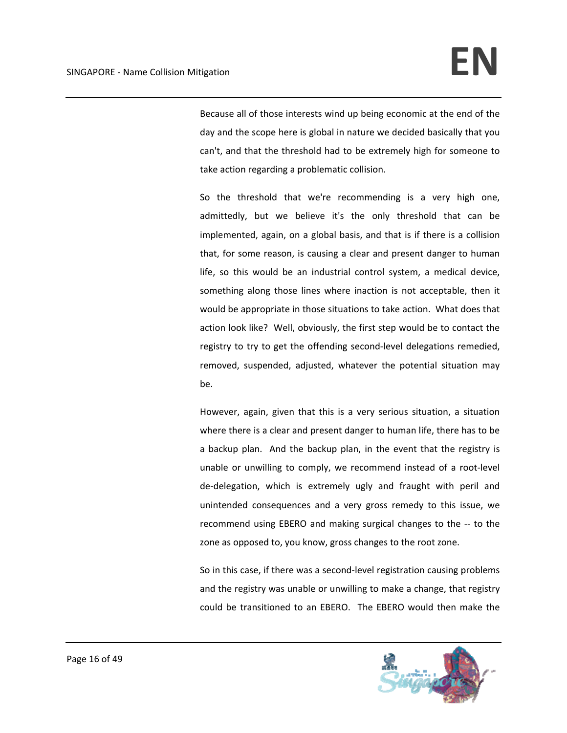Because all of those interests wind up being economic at the end of the day and the scope here is global in nature we decided basically that you can't, and that the threshold had to be extremely high for someone to take action regarding a problematic collision.

So the threshold that we're recommending is a very high one, admittedly, but we believe it's the only threshold that can be implemented, again, on a global basis, and that is if there is a collision that, for some reason, is causing a clear and present danger to human life, so this would be an industrial control system, a medical device, something along those lines where inaction is not acceptable, then it would be appropriate in those situations to take action. What does that action look like? Well, obviously, the first step would be to contact the registry to try to get the offending second-level delegations remedied, removed, suspended, adjusted, whatever the potential situation may be.

However, again, given that this is a very serious situation, a situation where there is a clear and present danger to human life, there has to be a backup plan. And the backup plan, in the event that the registry is unable or unwilling to comply, we recommend instead of a root‐level de‐delegation, which is extremely ugly and fraught with peril and unintended consequences and a very gross remedy to this issue, we recommend using EBERO and making surgical changes to the ‐‐ to the zone as opposed to, you know, gross changes to the root zone.

So in this case, if there was a second‐level registration causing problems and the registry was unable or unwilling to make a change, that registry could be transitioned to an EBERO. The EBERO would then make the

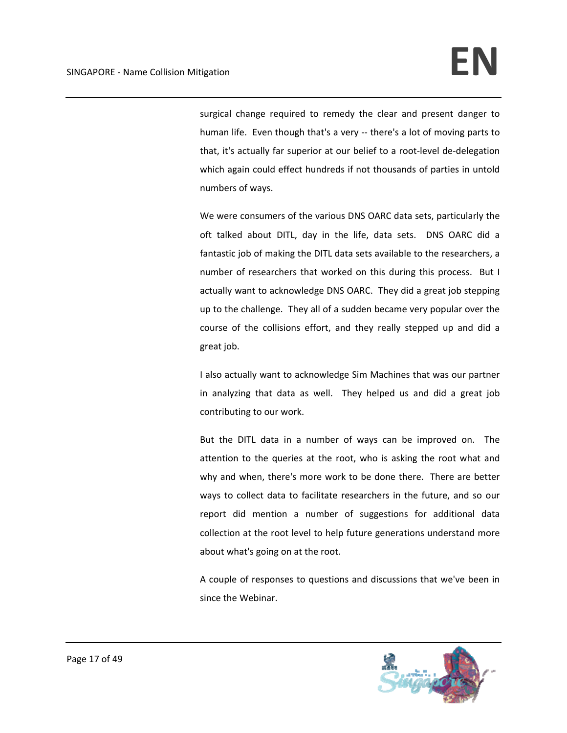surgical change required to remedy the clear and present danger to human life. Even though that's a very -- there's a lot of moving parts to that, it's actually far superior at our belief to a root‐level de‐delegation which again could effect hundreds if not thousands of parties in untold numbers of ways.

We were consumers of the various DNS OARC data sets, particularly the oft talked about DITL, day in the life, data sets. DNS OARC did a fantastic job of making the DITL data sets available to the researchers, a number of researchers that worked on this during this process. But I actually want to acknowledge DNS OARC. They did a great job stepping up to the challenge. They all of a sudden became very popular over the course of the collisions effort, and they really stepped up and did a great job.

I also actually want to acknowledge Sim Machines that was our partner in analyzing that data as well. They helped us and did a great job contributing to our work.

But the DITL data in a number of ways can be improved on. The attention to the queries at the root, who is asking the root what and why and when, there's more work to be done there. There are better ways to collect data to facilitate researchers in the future, and so our report did mention a number of suggestions for additional data collection at the root level to help future generations understand more about what's going on at the root.

A couple of responses to questions and discussions that we've been in since the Webinar.

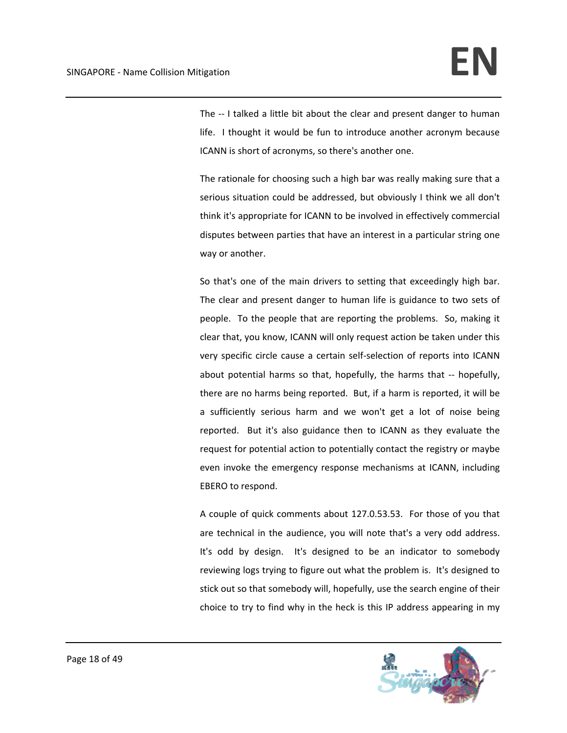The -- I talked a little bit about the clear and present danger to human life. I thought it would be fun to introduce another acronym because ICANN is short of acronyms, so there's another one.

The rationale for choosing such a high bar was really making sure that a serious situation could be addressed, but obviously I think we all don't think it's appropriate for ICANN to be involved in effectively commercial disputes between parties that have an interest in a particular string one way or another.

So that's one of the main drivers to setting that exceedingly high bar. The clear and present danger to human life is guidance to two sets of people. To the people that are reporting the problems. So, making it clear that, you know, ICANN will only request action be taken under this very specific circle cause a certain self‐selection of reports into ICANN about potential harms so that, hopefully, the harms that ‐‐ hopefully, there are no harms being reported. But, if a harm is reported, it will be a sufficiently serious harm and we won't get a lot of noise being reported. But it's also guidance then to ICANN as they evaluate the request for potential action to potentially contact the registry or maybe even invoke the emergency response mechanisms at ICANN, including EBERO to respond.

A couple of quick comments about 127.0.53.53. For those of you that are technical in the audience, you will note that's a very odd address. It's odd by design. It's designed to be an indicator to somebody reviewing logs trying to figure out what the problem is. It's designed to stick out so that somebody will, hopefully, use the search engine of their choice to try to find why in the heck is this IP address appearing in my

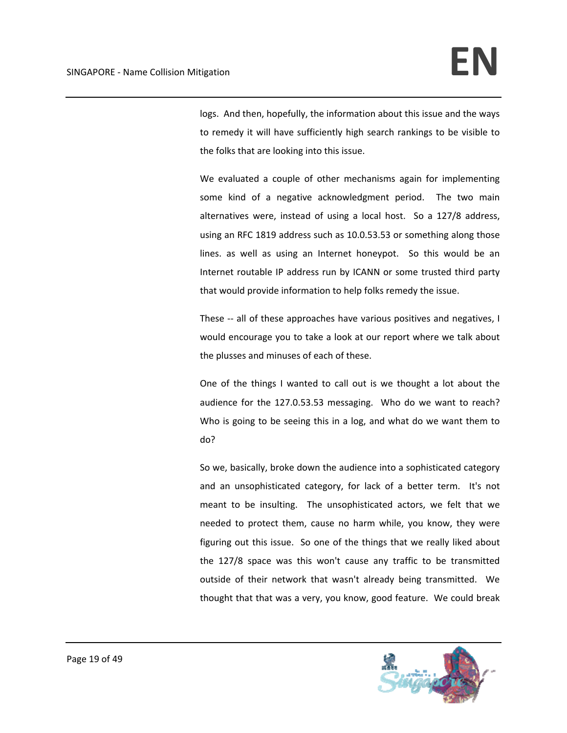logs. And then, hopefully, the information about this issue and the ways to remedy it will have sufficiently high search rankings to be visible to the folks that are looking into this issue.

We evaluated a couple of other mechanisms again for implementing some kind of a negative acknowledgment period. The two main alternatives were, instead of using a local host. So a 127/8 address, using an RFC 1819 address such as 10.0.53.53 or something along those lines. as well as using an Internet honeypot. So this would be an Internet routable IP address run by ICANN or some trusted third party that would provide information to help folks remedy the issue.

These -- all of these approaches have various positives and negatives, I would encourage you to take a look at our report where we talk about the plusses and minuses of each of these.

One of the things I wanted to call out is we thought a lot about the audience for the 127.0.53.53 messaging. Who do we want to reach? Who is going to be seeing this in a log, and what do we want them to do?

So we, basically, broke down the audience into a sophisticated category and an unsophisticated category, for lack of a better term. It's not meant to be insulting. The unsophisticated actors, we felt that we needed to protect them, cause no harm while, you know, they were figuring out this issue. So one of the things that we really liked about the 127/8 space was this won't cause any traffic to be transmitted outside of their network that wasn't already being transmitted. We thought that that was a very, you know, good feature. We could break

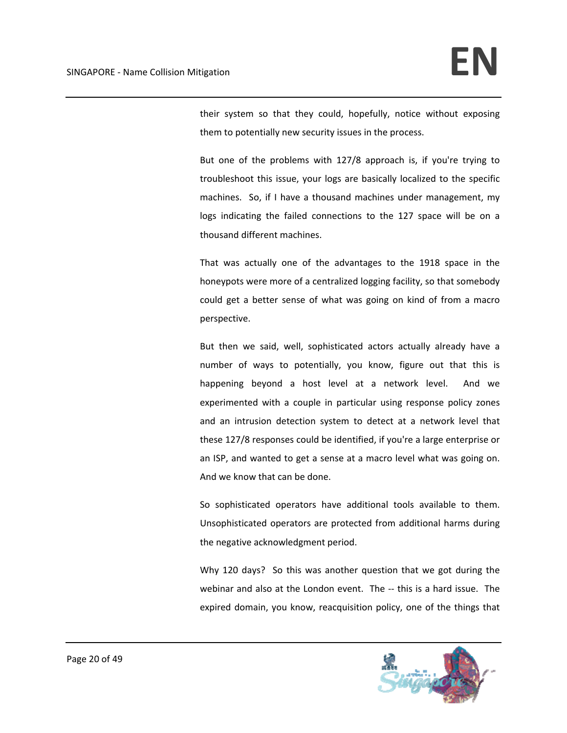their system so that they could, hopefully, notice without exposing them to potentially new security issues in the process.

But one of the problems with 127/8 approach is, if you're trying to troubleshoot this issue, your logs are basically localized to the specific machines. So, if I have a thousand machines under management, my logs indicating the failed connections to the 127 space will be on a thousand different machines.

That was actually one of the advantages to the 1918 space in the honeypots were more of a centralized logging facility, so that somebody could get a better sense of what was going on kind of from a macro perspective.

But then we said, well, sophisticated actors actually already have a number of ways to potentially, you know, figure out that this is happening beyond a host level at a network level. And we experimented with a couple in particular using response policy zones and an intrusion detection system to detect at a network level that these 127/8 responses could be identified, if you're a large enterprise or an ISP, and wanted to get a sense at a macro level what was going on. And we know that can be done.

So sophisticated operators have additional tools available to them. Unsophisticated operators are protected from additional harms during the negative acknowledgment period.

Why 120 days? So this was another question that we got during the webinar and also at the London event. The -- this is a hard issue. The expired domain, you know, reacquisition policy, one of the things that

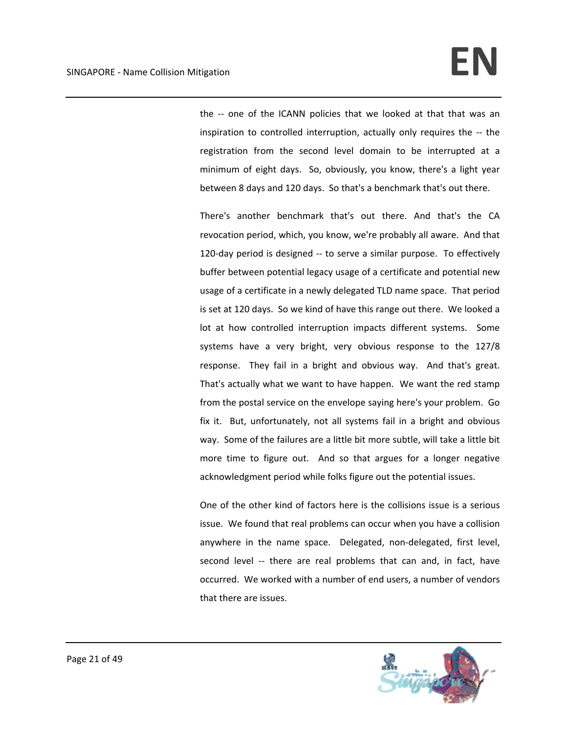the -- one of the ICANN policies that we looked at that that was an inspiration to controlled interruption, actually only requires the ‐‐ the registration from the second level domain to be interrupted at a minimum of eight days. So, obviously, you know, there's a light year between 8 days and 120 days. So that's a benchmark that's out there.

There's another benchmark that's out there. And that's the CA revocation period, which, you know, we're probably all aware. And that 120-day period is designed -- to serve a similar purpose. To effectively buffer between potential legacy usage of a certificate and potential new usage of a certificate in a newly delegated TLD name space. That period is set at 120 days. So we kind of have this range out there. We looked a lot at how controlled interruption impacts different systems. Some systems have a very bright, very obvious response to the 127/8 response. They fail in a bright and obvious way. And that's great. That's actually what we want to have happen. We want the red stamp from the postal service on the envelope saying here's your problem. Go fix it. But, unfortunately, not all systems fail in a bright and obvious way. Some of the failures are a little bit more subtle, will take a little bit more time to figure out. And so that argues for a longer negative acknowledgment period while folks figure out the potential issues.

One of the other kind of factors here is the collisions issue is a serious issue. We found that real problems can occur when you have a collision anywhere in the name space. Delegated, non-delegated, first level, second level -- there are real problems that can and, in fact, have occurred. We worked with a number of end users, a number of vendors that there are issues.

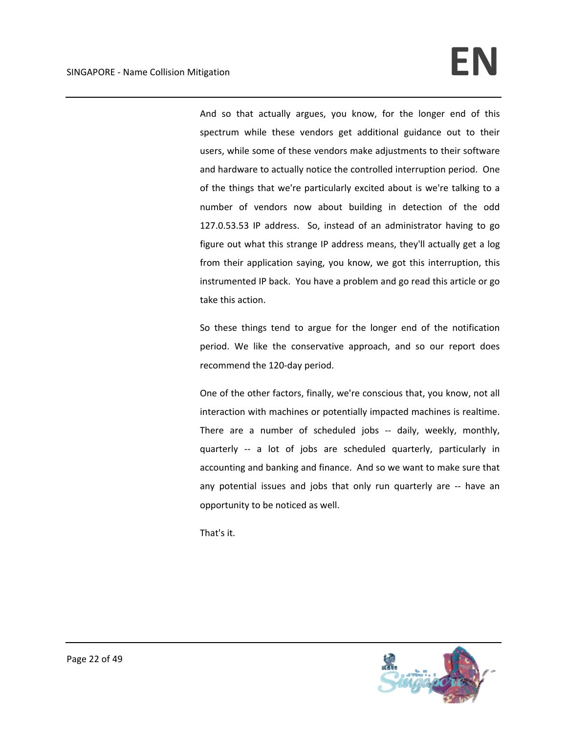## SINGAPORE ‐ Name Collision Mitigation **EN**

And so that actually argues, you know, for the longer end of this spectrum while these vendors get additional guidance out to their users, while some of these vendors make adjustments to their software and hardware to actually notice the controlled interruption period. One of the things that we're particularly excited about is we're talking to a number of vendors now about building in detection of the odd 127.0.53.53 IP address. So, instead of an administrator having to go figure out what this strange IP address means, they'll actually get a log from their application saying, you know, we got this interruption, this instrumented IP back. You have a problem and go read this article or go take this action.

So these things tend to argue for the longer end of the notification period. We like the conservative approach, and so our report does recommend the 120‐day period.

One of the other factors, finally, we're conscious that, you know, not all interaction with machines or potentially impacted machines is realtime. There are a number of scheduled jobs -- daily, weekly, monthly, quarterly ‐‐ a lot of jobs are scheduled quarterly, particularly in accounting and banking and finance. And so we want to make sure that any potential issues and jobs that only run quarterly are -- have an opportunity to be noticed as well.

That's it.

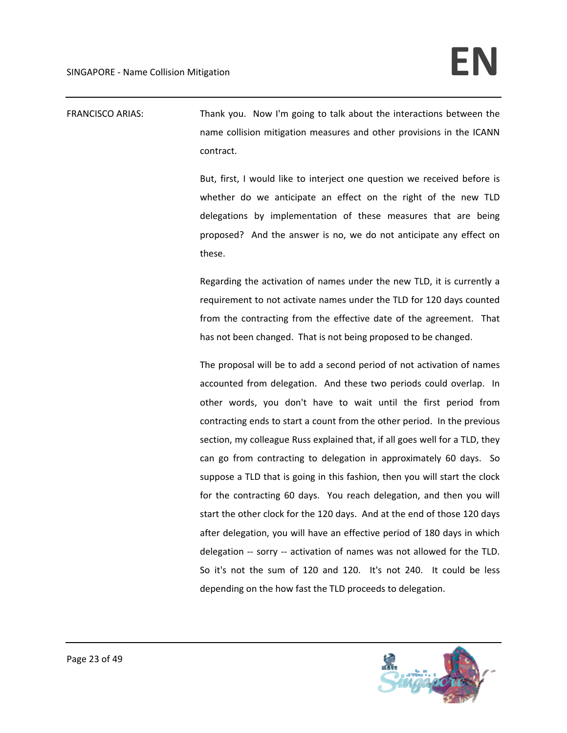FRANCISCO ARIAS: Thank you. Now I'm going to talk about the interactions between the name collision mitigation measures and other provisions in the ICANN contract.

> But, first, I would like to interject one question we received before is whether do we anticipate an effect on the right of the new TLD delegations by implementation of these measures that are being proposed? And the answer is no, we do not anticipate any effect on these.

> Regarding the activation of names under the new TLD, it is currently a requirement to not activate names under the TLD for 120 days counted from the contracting from the effective date of the agreement. That has not been changed. That is not being proposed to be changed.

> The proposal will be to add a second period of not activation of names accounted from delegation. And these two periods could overlap. In other words, you don't have to wait until the first period from contracting ends to start a count from the other period. In the previous section, my colleague Russ explained that, if all goes well for a TLD, they can go from contracting to delegation in approximately 60 days. So suppose a TLD that is going in this fashion, then you will start the clock for the contracting 60 days. You reach delegation, and then you will start the other clock for the 120 days. And at the end of those 120 days after delegation, you will have an effective period of 180 days in which delegation ‐‐ sorry ‐‐ activation of names was not allowed for the TLD. So it's not the sum of 120 and 120. It's not 240. It could be less depending on the how fast the TLD proceeds to delegation.

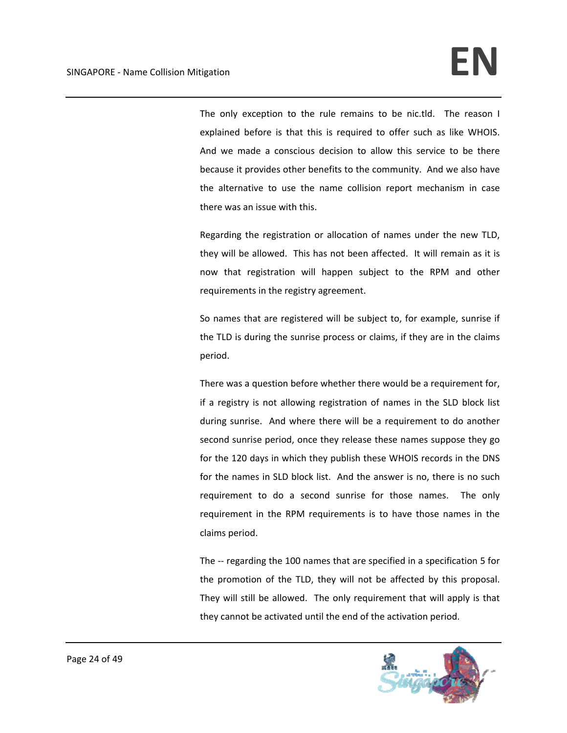The only exception to the rule remains to be nic.tld. The reason I explained before is that this is required to offer such as like WHOIS. And we made a conscious decision to allow this service to be there because it provides other benefits to the community. And we also have the alternative to use the name collision report mechanism in case there was an issue with this.

Regarding the registration or allocation of names under the new TLD, they will be allowed. This has not been affected. It will remain as it is now that registration will happen subject to the RPM and other requirements in the registry agreement.

So names that are registered will be subject to, for example, sunrise if the TLD is during the sunrise process or claims, if they are in the claims period.

There was a question before whether there would be a requirement for, if a registry is not allowing registration of names in the SLD block list during sunrise. And where there will be a requirement to do another second sunrise period, once they release these names suppose they go for the 120 days in which they publish these WHOIS records in the DNS for the names in SLD block list. And the answer is no, there is no such requirement to do a second sunrise for those names. The only requirement in the RPM requirements is to have those names in the claims period.

The -- regarding the 100 names that are specified in a specification 5 for the promotion of the TLD, they will not be affected by this proposal. They will still be allowed. The only requirement that will apply is that they cannot be activated until the end of the activation period.

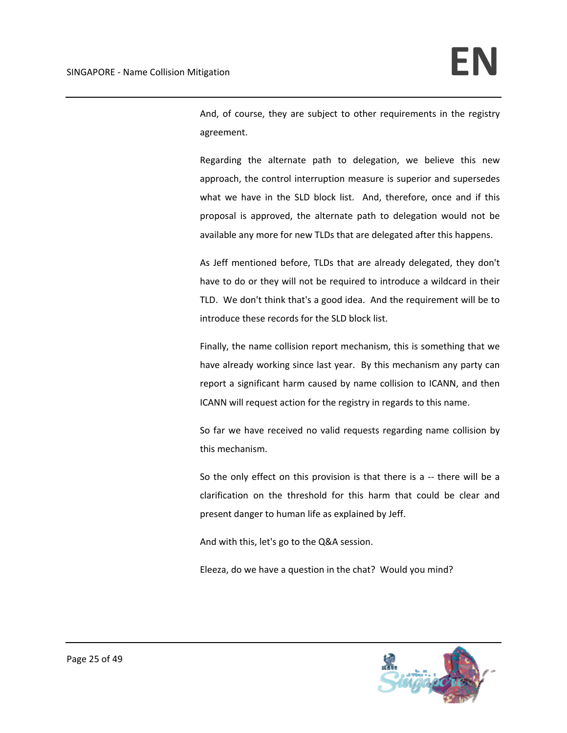And, of course, they are subject to other requirements in the registry agreement.

Regarding the alternate path to delegation, we believe this new approach, the control interruption measure is superior and supersedes what we have in the SLD block list. And, therefore, once and if this proposal is approved, the alternate path to delegation would not be available any more for new TLDs that are delegated after this happens.

As Jeff mentioned before, TLDs that are already delegated, they don't have to do or they will not be required to introduce a wildcard in their TLD. We don't think that's a good idea. And the requirement will be to introduce these records for the SLD block list.

Finally, the name collision report mechanism, this is something that we have already working since last year. By this mechanism any party can report a significant harm caused by name collision to ICANN, and then ICANN will request action for the registry in regards to this name.

So far we have received no valid requests regarding name collision by this mechanism.

So the only effect on this provision is that there is a -- there will be a clarification on the threshold for this harm that could be clear and present danger to human life as explained by Jeff.

And with this, let's go to the Q&A session.

Eleeza, do we have a question in the chat? Would you mind?

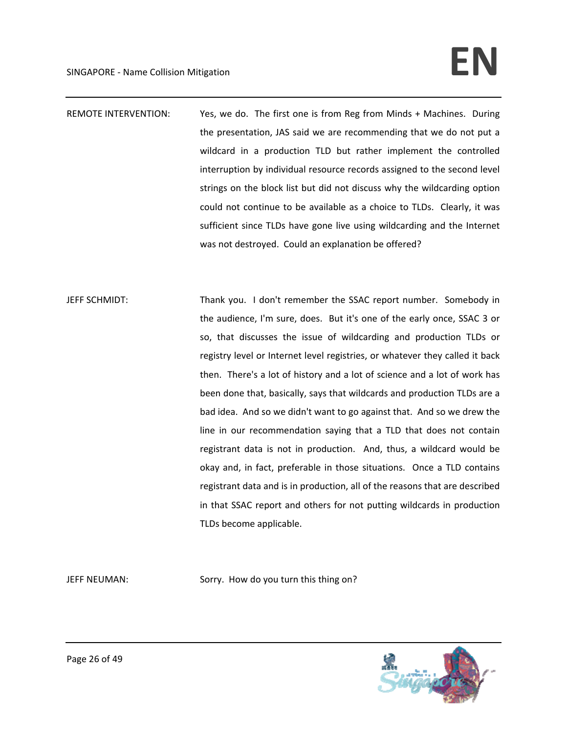## SINGAPORE ‐ Name Collision Mitigation **EN**

- REMOTE INTERVENTION: Yes, we do. The first one is from Reg from Minds + Machines. During the presentation, JAS said we are recommending that we do not put a wildcard in a production TLD but rather implement the controlled interruption by individual resource records assigned to the second level strings on the block list but did not discuss why the wildcarding option could not continue to be available as a choice to TLDs. Clearly, it was sufficient since TLDs have gone live using wildcarding and the Internet was not destroyed. Could an explanation be offered?
- JEFF SCHMIDT: Thank you. I don't remember the SSAC report number. Somebody in the audience, I'm sure, does. But it's one of the early once, SSAC 3 or so, that discusses the issue of wildcarding and production TLDs or registry level or Internet level registries, or whatever they called it back then. There's a lot of history and a lot of science and a lot of work has been done that, basically, says that wildcards and production TLDs are a bad idea. And so we didn't want to go against that. And so we drew the line in our recommendation saying that a TLD that does not contain registrant data is not in production. And, thus, a wildcard would be okay and, in fact, preferable in those situations. Once a TLD contains registrant data and is in production, all of the reasons that are described in that SSAC report and others for not putting wildcards in production TLDs become applicable.

JEFF NEUMAN: Sorry. How do you turn this thing on?

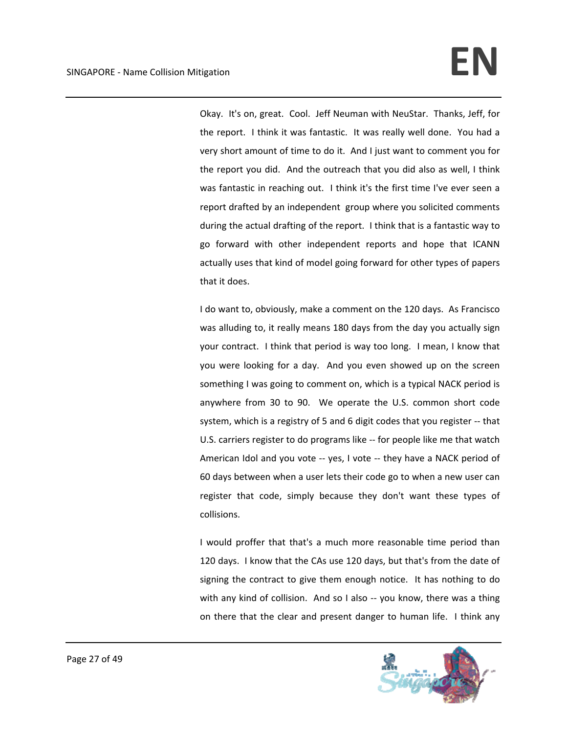Okay. It's on, great. Cool. Jeff Neuman with NeuStar. Thanks, Jeff, for the report. I think it was fantastic. It was really well done. You had a very short amount of time to do it. And I just want to comment you for the report you did. And the outreach that you did also as well, I think was fantastic in reaching out. I think it's the first time I've ever seen a report drafted by an independent group where you solicited comments during the actual drafting of the report. I think that is a fantastic way to go forward with other independent reports and hope that ICANN actually uses that kind of model going forward for other types of papers that it does.

I do want to, obviously, make a comment on the 120 days. As Francisco was alluding to, it really means 180 days from the day you actually sign your contract. I think that period is way too long. I mean, I know that you were looking for a day. And you even showed up on the screen something I was going to comment on, which is a typical NACK period is anywhere from 30 to 90. We operate the U.S. common short code system, which is a registry of 5 and 6 digit codes that you register ‐‐ that U.S. carriers register to do programs like ‐‐ for people like me that watch American Idol and you vote ‐‐ yes, I vote ‐‐ they have a NACK period of 60 days between when a user lets their code go to when a new user can register that code, simply because they don't want these types of collisions.

I would proffer that that's a much more reasonable time period than 120 days. I know that the CAs use 120 days, but that's from the date of signing the contract to give them enough notice. It has nothing to do with any kind of collision. And so I also -- you know, there was a thing on there that the clear and present danger to human life. I think any

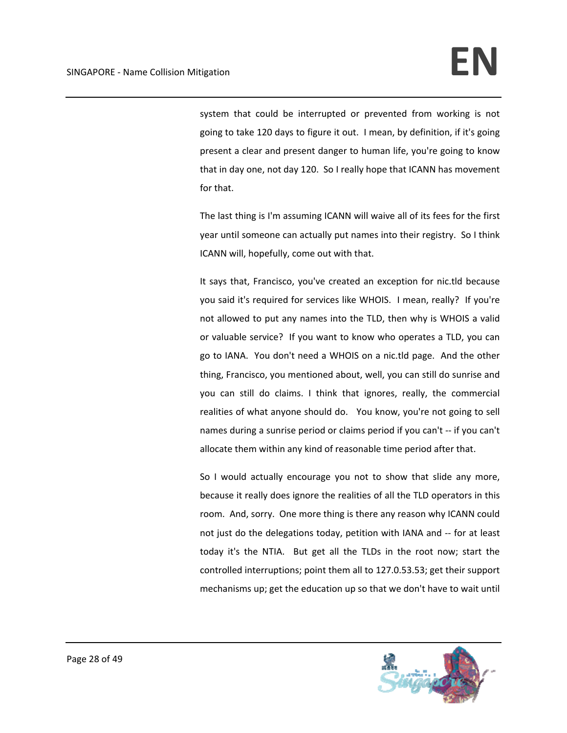system that could be interrupted or prevented from working is not going to take 120 days to figure it out. I mean, by definition, if it's going present a clear and present danger to human life, you're going to know that in day one, not day 120. So I really hope that ICANN has movement for that.

The last thing is I'm assuming ICANN will waive all of its fees for the first year until someone can actually put names into their registry. So I think ICANN will, hopefully, come out with that.

It says that, Francisco, you've created an exception for nic.tld because you said it's required for services like WHOIS. I mean, really? If you're not allowed to put any names into the TLD, then why is WHOIS a valid or valuable service? If you want to know who operates a TLD, you can go to IANA. You don't need a WHOIS on a nic.tld page. And the other thing, Francisco, you mentioned about, well, you can still do sunrise and you can still do claims. I think that ignores, really, the commercial realities of what anyone should do. You know, you're not going to sell names during a sunrise period or claims period if you can't ‐‐ if you can't allocate them within any kind of reasonable time period after that.

So I would actually encourage you not to show that slide any more, because it really does ignore the realities of all the TLD operators in this room. And, sorry. One more thing is there any reason why ICANN could not just do the delegations today, petition with IANA and ‐‐ for at least today it's the NTIA. But get all the TLDs in the root now; start the controlled interruptions; point them all to 127.0.53.53; get their support mechanisms up; get the education up so that we don't have to wait until

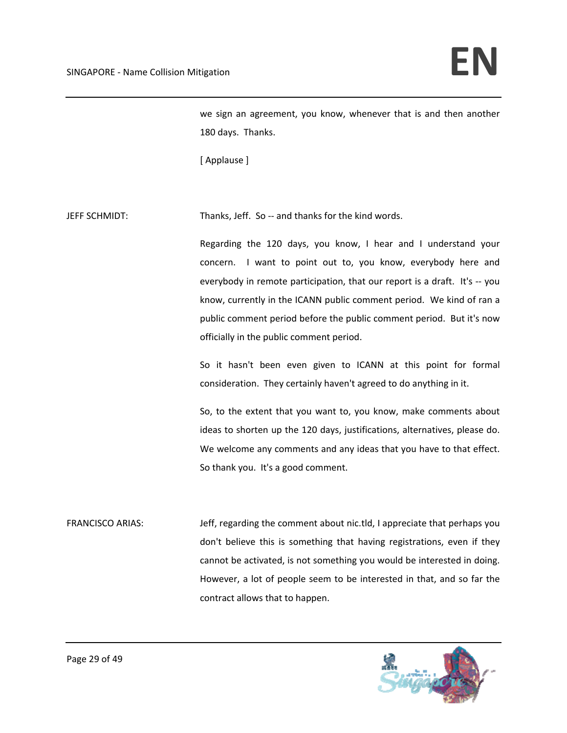we sign an agreement, you know, whenever that is and then another 180 days. Thanks.

[ Applause ]

JEFF SCHMIDT: Thanks, Jeff. So ‐‐ and thanks for the kind words.

Regarding the 120 days, you know, I hear and I understand your concern. I want to point out to, you know, everybody here and everybody in remote participation, that our report is a draft. It's ‐‐ you know, currently in the ICANN public comment period. We kind of ran a public comment period before the public comment period. But it's now officially in the public comment period.

So it hasn't been even given to ICANN at this point for formal consideration. They certainly haven't agreed to do anything in it.

So, to the extent that you want to, you know, make comments about ideas to shorten up the 120 days, justifications, alternatives, please do. We welcome any comments and any ideas that you have to that effect. So thank you. It's a good comment.

FRANCISCO ARIAS: Jeff, regarding the comment about nic.tld, I appreciate that perhaps you don't believe this is something that having registrations, even if they cannot be activated, is not something you would be interested in doing. However, a lot of people seem to be interested in that, and so far the contract allows that to happen.

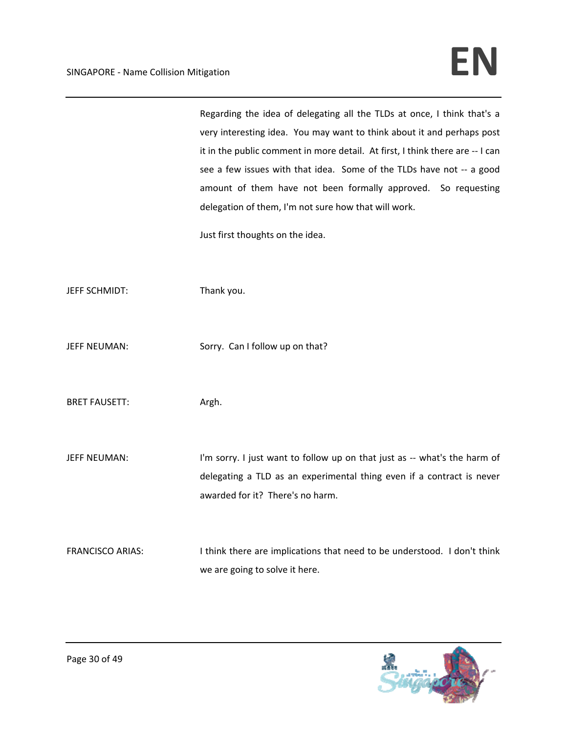Regarding the idea of delegating all the TLDs at once, I think that's a very interesting idea. You may want to think about it and perhaps post it in the public comment in more detail. At first, I think there are ‐‐ I can see a few issues with that idea. Some of the TLDs have not -- a good amount of them have not been formally approved. So requesting delegation of them, I'm not sure how that will work.

Just first thoughts on the idea.

JEFF SCHMIDT: Thank you.

JEFF NEUMAN: Sorry. Can I follow up on that?

BRET FAUSETT: Argh.

JEFF NEUMAN: I'm sorry. I just want to follow up on that just as -- what's the harm of delegating a TLD as an experimental thing even if a contract is never awarded for it? There's no harm.

FRANCISCO ARIAS: I think there are implications that need to be understood. I don't think we are going to solve it here.

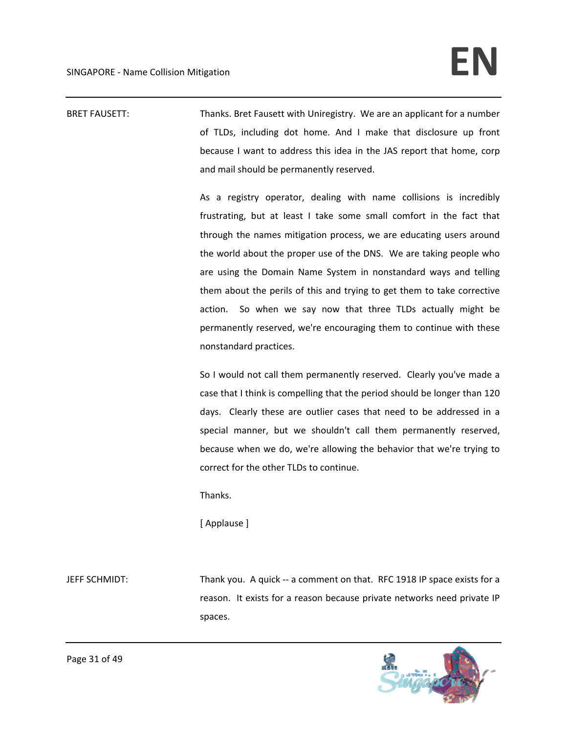BRET FAUSETT: Thanks. Bret Fausett with Uniregistry. We are an applicant for a number of TLDs, including dot home. And I make that disclosure up front because I want to address this idea in the JAS report that home, corp and mail should be permanently reserved.

> As a registry operator, dealing with name collisions is incredibly frustrating, but at least I take some small comfort in the fact that through the names mitigation process, we are educating users around the world about the proper use of the DNS. We are taking people who are using the Domain Name System in nonstandard ways and telling them about the perils of this and trying to get them to take corrective action. So when we say now that three TLDs actually might be permanently reserved, we're encouraging them to continue with these nonstandard practices.

> So I would not call them permanently reserved. Clearly you've made a case that I think is compelling that the period should be longer than 120 days. Clearly these are outlier cases that need to be addressed in a special manner, but we shouldn't call them permanently reserved, because when we do, we're allowing the behavior that we're trying to correct for the other TLDs to continue.

Thanks.

[ Applause ]

JEFF SCHMIDT: Thank you. A quick ‐‐ a comment on that. RFC 1918 IP space exists for a reason. It exists for a reason because private networks need private IP spaces.

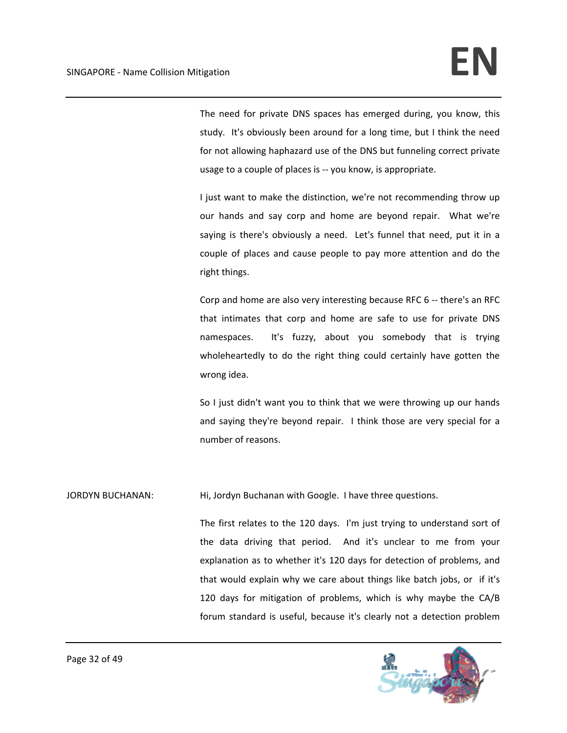The need for private DNS spaces has emerged during, you know, this study. It's obviously been around for a long time, but I think the need for not allowing haphazard use of the DNS but funneling correct private usage to a couple of places is ‐‐ you know, is appropriate.

I just want to make the distinction, we're not recommending throw up our hands and say corp and home are beyond repair. What we're saying is there's obviously a need. Let's funnel that need, put it in a couple of places and cause people to pay more attention and do the right things.

Corp and home are also very interesting because RFC 6 ‐‐ there's an RFC that intimates that corp and home are safe to use for private DNS namespaces. It's fuzzy, about you somebody that is trying wholeheartedly to do the right thing could certainly have gotten the wrong idea.

So I just didn't want you to think that we were throwing up our hands and saying they're beyond repair. I think those are very special for a number of reasons.

JORDYN BUCHANAN: Hi, Jordyn Buchanan with Google. I have three questions.

The first relates to the 120 days. I'm just trying to understand sort of the data driving that period. And it's unclear to me from your explanation as to whether it's 120 days for detection of problems, and that would explain why we care about things like batch jobs, or if it's 120 days for mitigation of problems, which is why maybe the CA/B forum standard is useful, because it's clearly not a detection problem

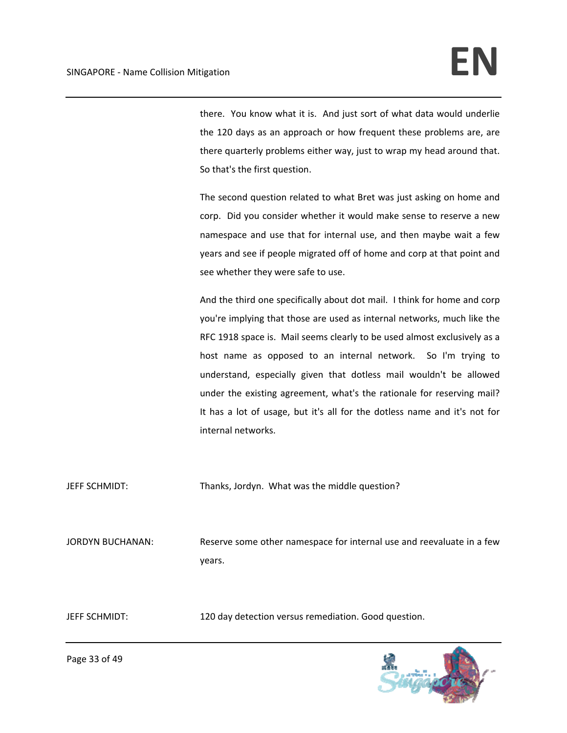there. You know what it is. And just sort of what data would underlie the 120 days as an approach or how frequent these problems are, are there quarterly problems either way, just to wrap my head around that. So that's the first question.

The second question related to what Bret was just asking on home and corp. Did you consider whether it would make sense to reserve a new namespace and use that for internal use, and then maybe wait a few years and see if people migrated off of home and corp at that point and see whether they were safe to use.

And the third one specifically about dot mail. I think for home and corp you're implying that those are used as internal networks, much like the RFC 1918 space is. Mail seems clearly to be used almost exclusively as a host name as opposed to an internal network. So I'm trying to understand, especially given that dotless mail wouldn't be allowed under the existing agreement, what's the rationale for reserving mail? It has a lot of usage, but it's all for the dotless name and it's not for internal networks.

JEFF SCHMIDT: Thanks, Jordyn. What was the middle question?

JORDYN BUCHANAN: Reserve some other namespace for internal use and reevaluate in a few years.

JEFF SCHMIDT: 120 day detection versus remediation. Good question.



Page 33 of 49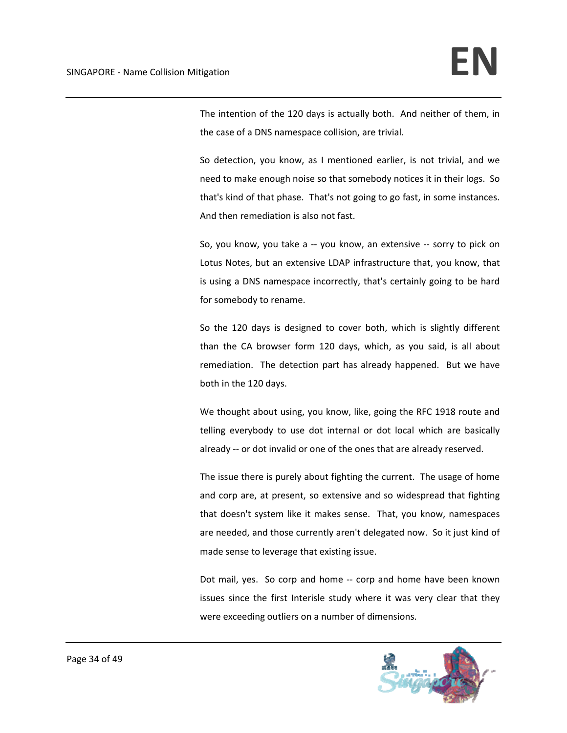The intention of the 120 days is actually both. And neither of them, in the case of a DNS namespace collision, are trivial.

So detection, you know, as I mentioned earlier, is not trivial, and we need to make enough noise so that somebody notices it in their logs. So that's kind of that phase. That's not going to go fast, in some instances. And then remediation is also not fast.

So, you know, you take a ‐‐ you know, an extensive ‐‐ sorry to pick on Lotus Notes, but an extensive LDAP infrastructure that, you know, that is using a DNS namespace incorrectly, that's certainly going to be hard for somebody to rename.

So the 120 days is designed to cover both, which is slightly different than the CA browser form 120 days, which, as you said, is all about remediation. The detection part has already happened. But we have both in the 120 days.

We thought about using, you know, like, going the RFC 1918 route and telling everybody to use dot internal or dot local which are basically already ‐‐ or dot invalid or one of the ones that are already reserved.

The issue there is purely about fighting the current. The usage of home and corp are, at present, so extensive and so widespread that fighting that doesn't system like it makes sense. That, you know, namespaces are needed, and those currently aren't delegated now. So it just kind of made sense to leverage that existing issue.

Dot mail, yes. So corp and home ‐‐ corp and home have been known issues since the first Interisle study where it was very clear that they were exceeding outliers on a number of dimensions.

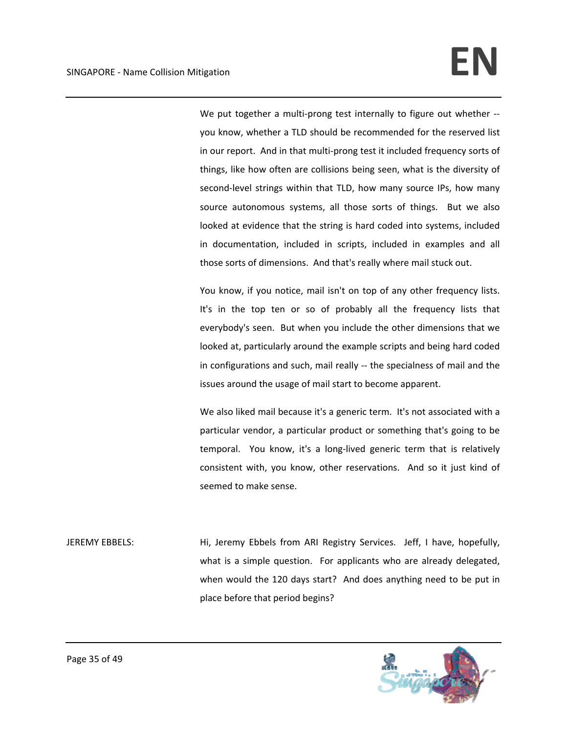We put together a multi-prong test internally to figure out whether -you know, whether a TLD should be recommended for the reserved list in our report. And in that multi‐prong test it included frequency sorts of things, like how often are collisions being seen, what is the diversity of second-level strings within that TLD, how many source IPs, how many source autonomous systems, all those sorts of things. But we also looked at evidence that the string is hard coded into systems, included in documentation, included in scripts, included in examples and all those sorts of dimensions. And that's really where mail stuck out.

You know, if you notice, mail isn't on top of any other frequency lists. It's in the top ten or so of probably all the frequency lists that everybody's seen. But when you include the other dimensions that we looked at, particularly around the example scripts and being hard coded in configurations and such, mail really ‐‐ the specialness of mail and the issues around the usage of mail start to become apparent.

We also liked mail because it's a generic term. It's not associated with a particular vendor, a particular product or something that's going to be temporal. You know, it's a long-lived generic term that is relatively consistent with, you know, other reservations. And so it just kind of seemed to make sense.

JEREMY EBBELS: Hi, Jeremy Ebbels from ARI Registry Services. Jeff, I have, hopefully, what is a simple question. For applicants who are already delegated, when would the 120 days start? And does anything need to be put in place before that period begins?

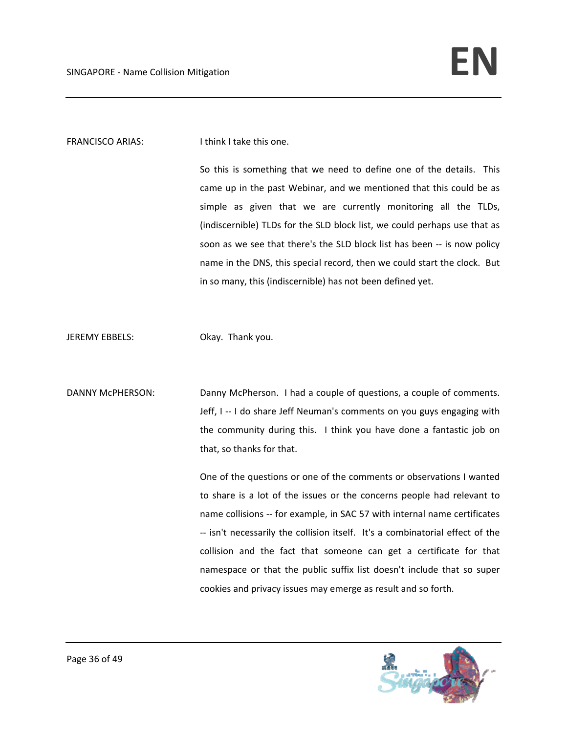## FRANCISCO ARIAS: I think I take this one.

So this is something that we need to define one of the details. This came up in the past Webinar, and we mentioned that this could be as simple as given that we are currently monitoring all the TLDs, (indiscernible) TLDs for the SLD block list, we could perhaps use that as soon as we see that there's the SLD block list has been -- is now policy name in the DNS, this special record, then we could start the clock. But in so many, this (indiscernible) has not been defined yet.

JEREMY EBBELS: Okay. Thank you.

DANNY McPHERSON: Danny McPherson. I had a couple of questions, a couple of comments. Jeff, I -- I do share Jeff Neuman's comments on you guys engaging with the community during this. I think you have done a fantastic job on that, so thanks for that.

> One of the questions or one of the comments or observations I wanted to share is a lot of the issues or the concerns people had relevant to name collisions ‐‐ for example, in SAC 57 with internal name certificates ‐‐ isn't necessarily the collision itself. It's a combinatorial effect of the collision and the fact that someone can get a certificate for that namespace or that the public suffix list doesn't include that so super cookies and privacy issues may emerge as result and so forth.

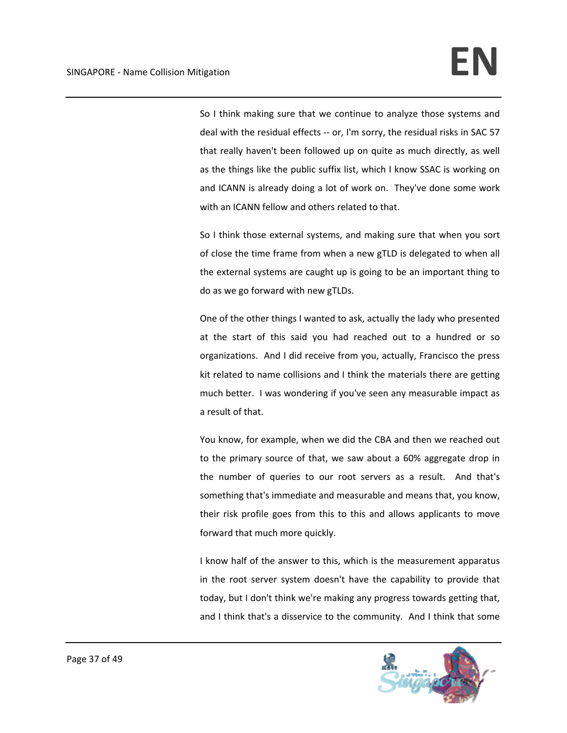So I think making sure that we continue to analyze those systems and deal with the residual effects ‐‐ or, I'm sorry, the residual risks in SAC 57 that really haven't been followed up on quite as much directly, as well as the things like the public suffix list, which I know SSAC is working on and ICANN is already doing a lot of work on. They've done some work with an ICANN fellow and others related to that.

So I think those external systems, and making sure that when you sort of close the time frame from when a new gTLD is delegated to when all the external systems are caught up is going to be an important thing to do as we go forward with new gTLDs.

One of the other things I wanted to ask, actually the lady who presented at the start of this said you had reached out to a hundred or so organizations. And I did receive from you, actually, Francisco the press kit related to name collisions and I think the materials there are getting much better. I was wondering if you've seen any measurable impact as a result of that.

You know, for example, when we did the CBA and then we reached out to the primary source of that, we saw about a 60% aggregate drop in the number of queries to our root servers as a result. And that's something that's immediate and measurable and means that, you know, their risk profile goes from this to this and allows applicants to move forward that much more quickly.

I know half of the answer to this, which is the measurement apparatus in the root server system doesn't have the capability to provide that today, but I don't think we're making any progress towards getting that, and I think that's a disservice to the community. And I think that some

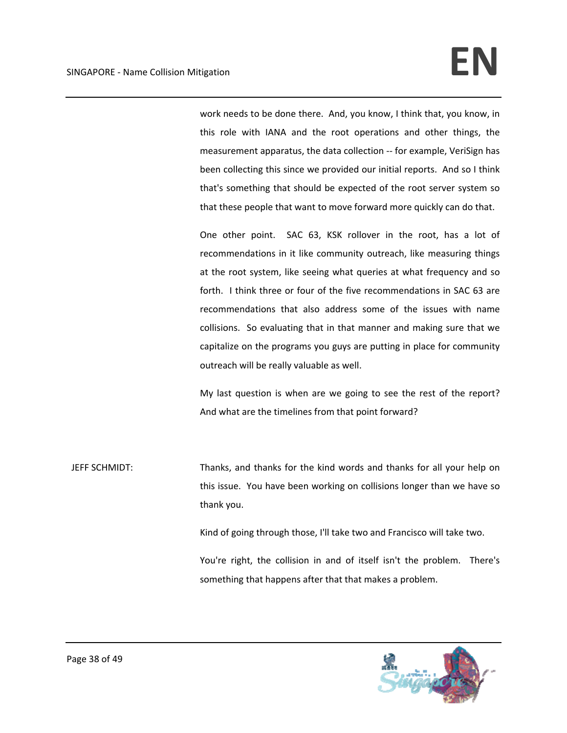work needs to be done there. And, you know, I think that, you know, in this role with IANA and the root operations and other things, the measurement apparatus, the data collection ‐‐ for example, VeriSign has been collecting this since we provided our initial reports. And so I think that's something that should be expected of the root server system so that these people that want to move forward more quickly can do that.

One other point. SAC 63, KSK rollover in the root, has a lot of recommendations in it like community outreach, like measuring things at the root system, like seeing what queries at what frequency and so forth. I think three or four of the five recommendations in SAC 63 are recommendations that also address some of the issues with name collisions. So evaluating that in that manner and making sure that we capitalize on the programs you guys are putting in place for community outreach will be really valuable as well.

My last question is when are we going to see the rest of the report? And what are the timelines from that point forward?

JEFF SCHMIDT: Thanks, and thanks for the kind words and thanks for all your help on this issue. You have been working on collisions longer than we have so thank you.

Kind of going through those, I'll take two and Francisco will take two.

You're right, the collision in and of itself isn't the problem. There's something that happens after that that makes a problem.

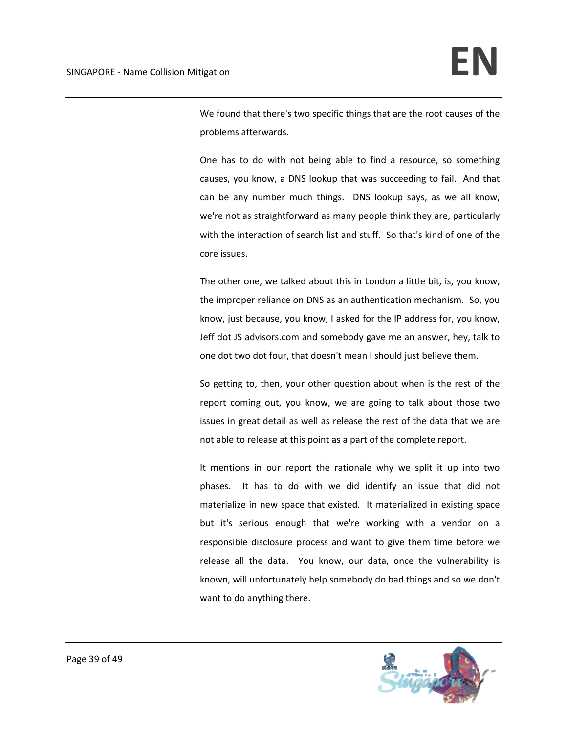We found that there's two specific things that are the root causes of the problems afterwards.

One has to do with not being able to find a resource, so something causes, you know, a DNS lookup that was succeeding to fail. And that can be any number much things. DNS lookup says, as we all know, we're not as straightforward as many people think they are, particularly with the interaction of search list and stuff. So that's kind of one of the core issues.

The other one, we talked about this in London a little bit, is, you know, the improper reliance on DNS as an authentication mechanism. So, you know, just because, you know, I asked for the IP address for, you know, Jeff dot JS advisors.com and somebody gave me an answer, hey, talk to one dot two dot four, that doesn't mean I should just believe them.

So getting to, then, your other question about when is the rest of the report coming out, you know, we are going to talk about those two issues in great detail as well as release the rest of the data that we are not able to release at this point as a part of the complete report.

It mentions in our report the rationale why we split it up into two phases. It has to do with we did identify an issue that did not materialize in new space that existed. It materialized in existing space but it's serious enough that we're working with a vendor on a responsible disclosure process and want to give them time before we release all the data. You know, our data, once the vulnerability is known, will unfortunately help somebody do bad things and so we don't want to do anything there.

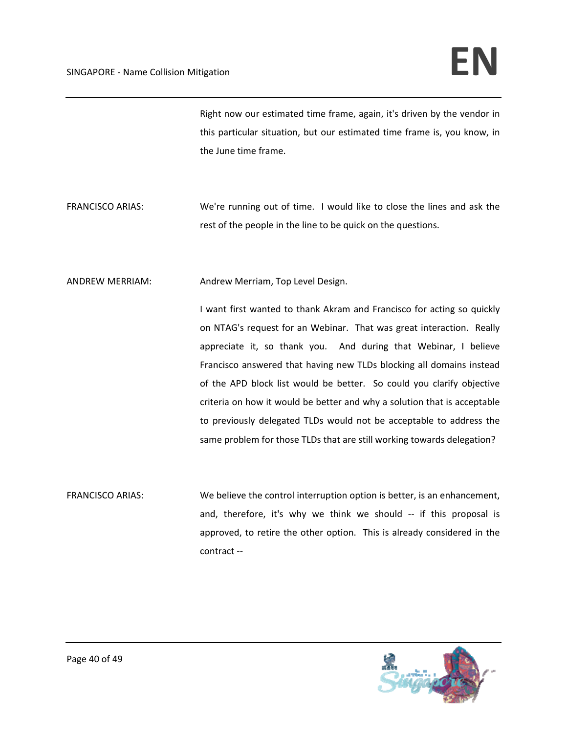Right now our estimated time frame, again, it's driven by the vendor in this particular situation, but our estimated time frame is, you know, in the June time frame.

- FRANCISCO ARIAS: We're running out of time. I would like to close the lines and ask the rest of the people in the line to be quick on the questions.
- ANDREW MERRIAM: Andrew Merriam, Top Level Design.

I want first wanted to thank Akram and Francisco for acting so quickly on NTAG's request for an Webinar. That was great interaction. Really appreciate it, so thank you. And during that Webinar, I believe Francisco answered that having new TLDs blocking all domains instead of the APD block list would be better. So could you clarify objective criteria on how it would be better and why a solution that is acceptable to previously delegated TLDs would not be acceptable to address the same problem for those TLDs that are still working towards delegation?

FRANCISCO ARIAS: We believe the control interruption option is better, is an enhancement, and, therefore, it's why we think we should -- if this proposal is approved, to retire the other option. This is already considered in the contract ‐‐

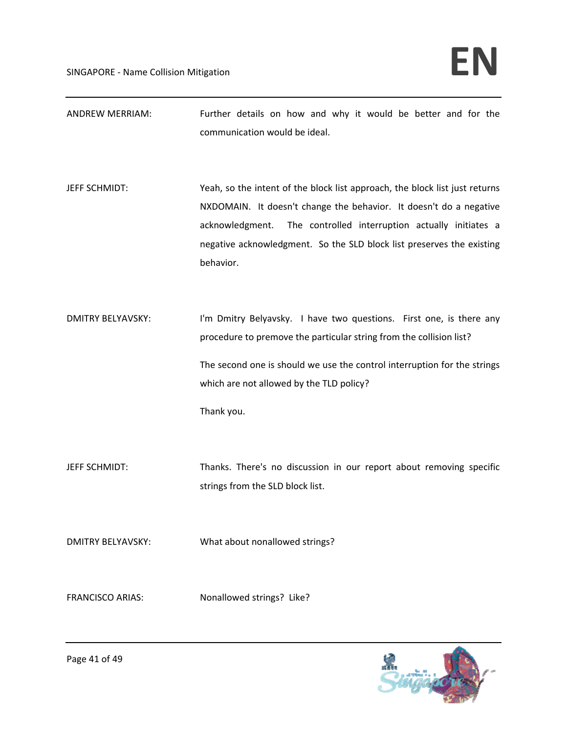ANDREW MERRIAM: Further details on how and why it would be better and for the communication would be ideal.

JEFF SCHMIDT: Yeah, so the intent of the block list approach, the block list just returns NXDOMAIN. It doesn't change the behavior. It doesn't do a negative acknowledgment. The controlled interruption actually initiates a negative acknowledgment. So the SLD block list preserves the existing behavior.

DMITRY BELYAVSKY: I'm Dmitry Belyavsky. I have two questions. First one, is there any procedure to premove the particular string from the collision list? The second one is should we use the control interruption for the strings which are not allowed by the TLD policy?

Thank you.

JEFF SCHMIDT: Thanks. There's no discussion in our report about removing specific strings from the SLD block list.

DMITRY BELYAVSKY: What about nonallowed strings?

FRANCISCO ARIAS: Nonallowed strings? Like?

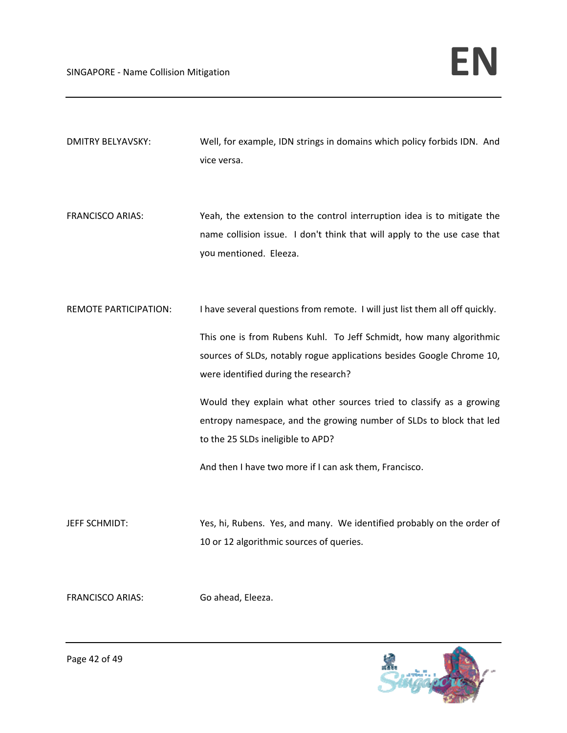- DMITRY BELYAVSKY: Well, for example, IDN strings in domains which policy forbids IDN. And vice versa.
- FRANCISCO ARIAS: Yeah, the extension to the control interruption idea is to mitigate the name collision issue. I don't think that will apply to the use case that you mentioned. Eleeza.
- REMOTE PARTICIPATION: I have several questions from remote. I will just list them all off quickly.

This one is from Rubens Kuhl. To Jeff Schmidt, how many algorithmic sources of SLDs, notably rogue applications besides Google Chrome 10, were identified during the research?

Would they explain what other sources tried to classify as a growing entropy namespace, and the growing number of SLDs to block that led to the 25 SLDs ineligible to APD?

And then I have two more if I can ask them, Francisco.

JEFF SCHMIDT: Yes, hi, Rubens. Yes, and many. We identified probably on the order of 10 or 12 algorithmic sources of queries.

FRANCISCO ARIAS: Go ahead, Eleeza.

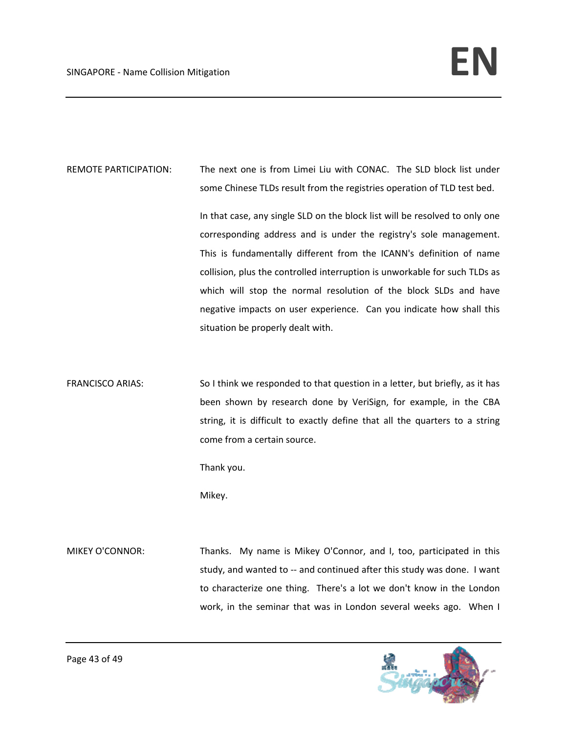REMOTE PARTICIPATION: The next one is from Limei Liu with CONAC. The SLD block list under some Chinese TLDs result from the registries operation of TLD test bed.

> In that case, any single SLD on the block list will be resolved to only one corresponding address and is under the registry's sole management. This is fundamentally different from the ICANN's definition of name collision, plus the controlled interruption is unworkable for such TLDs as which will stop the normal resolution of the block SLDs and have negative impacts on user experience. Can you indicate how shall this situation be properly dealt with.

FRANCISCO ARIAS: So I think we responded to that question in a letter, but briefly, as it has been shown by research done by VeriSign, for example, in the CBA string, it is difficult to exactly define that all the quarters to a string come from a certain source.

Thank you.

Mikey.

MIKEY O'CONNOR: Thanks. My name is Mikey O'Connor, and I, too, participated in this study, and wanted to -- and continued after this study was done. I want to characterize one thing. There's a lot we don't know in the London work, in the seminar that was in London several weeks ago. When I

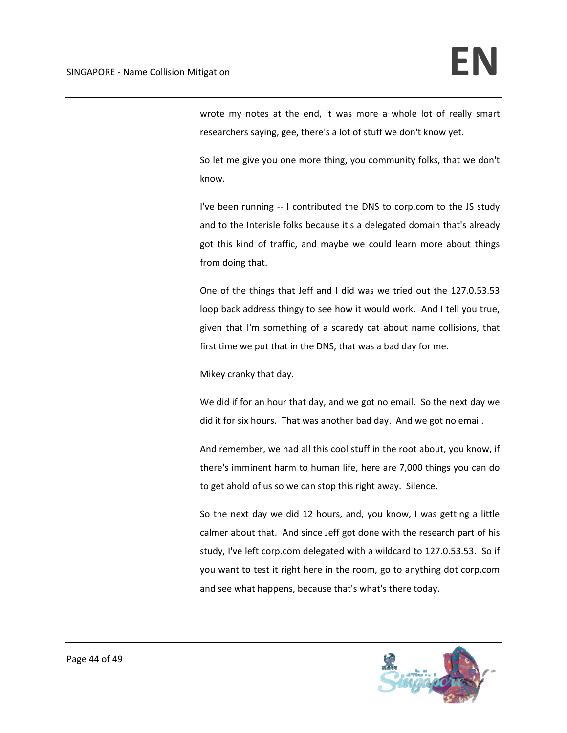wrote my notes at the end, it was more a whole lot of really smart researchers saying, gee, there's a lot of stuff we don't know yet.

So let me give you one more thing, you community folks, that we don't know.

I've been running -- I contributed the DNS to corp.com to the JS study and to the Interisle folks because it's a delegated domain that's already got this kind of traffic, and maybe we could learn more about things from doing that.

One of the things that Jeff and I did was we tried out the 127.0.53.53 loop back address thingy to see how it would work. And I tell you true, given that I'm something of a scaredy cat about name collisions, that first time we put that in the DNS, that was a bad day for me.

Mikey cranky that day.

We did if for an hour that day, and we got no email. So the next day we did it for six hours. That was another bad day. And we got no email.

And remember, we had all this cool stuff in the root about, you know, if there's imminent harm to human life, here are 7,000 things you can do to get ahold of us so we can stop this right away. Silence.

So the next day we did 12 hours, and, you know, I was getting a little calmer about that. And since Jeff got done with the research part of his study, I've left corp.com delegated with a wildcard to 127.0.53.53. So if you want to test it right here in the room, go to anything dot corp.com and see what happens, because that's what's there today.

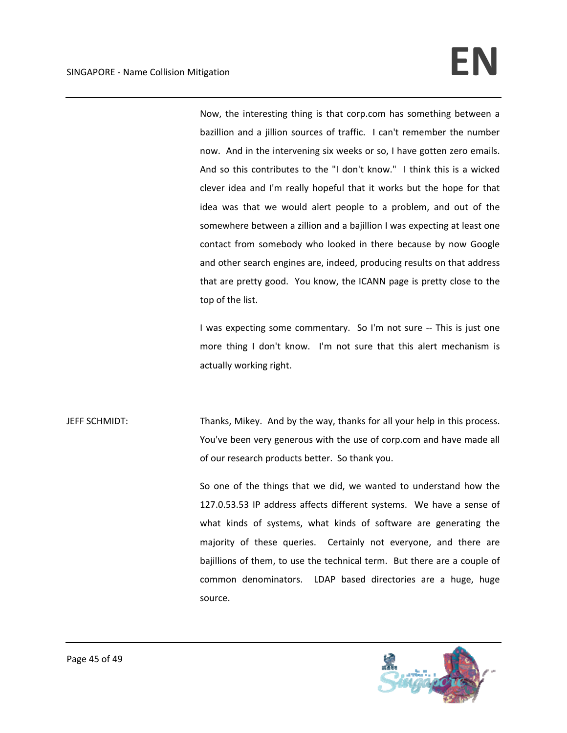Now, the interesting thing is that corp.com has something between a bazillion and a jillion sources of traffic. I can't remember the number now. And in the intervening six weeks or so, I have gotten zero emails. And so this contributes to the "I don't know." I think this is a wicked clever idea and I'm really hopeful that it works but the hope for that idea was that we would alert people to a problem, and out of the somewhere between a zillion and a bajillion I was expecting at least one contact from somebody who looked in there because by now Google and other search engines are, indeed, producing results on that address that are pretty good. You know, the ICANN page is pretty close to the top of the list.

I was expecting some commentary. So I'm not sure ‐‐ This is just one more thing I don't know. I'm not sure that this alert mechanism is actually working right.

JEFF SCHMIDT: Thanks, Mikey. And by the way, thanks for all your help in this process. You've been very generous with the use of corp.com and have made all of our research products better. So thank you.

> So one of the things that we did, we wanted to understand how the 127.0.53.53 IP address affects different systems. We have a sense of what kinds of systems, what kinds of software are generating the majority of these queries. Certainly not everyone, and there are bajillions of them, to use the technical term. But there are a couple of common denominators. LDAP based directories are a huge, huge source.

![](_page_44_Picture_6.jpeg)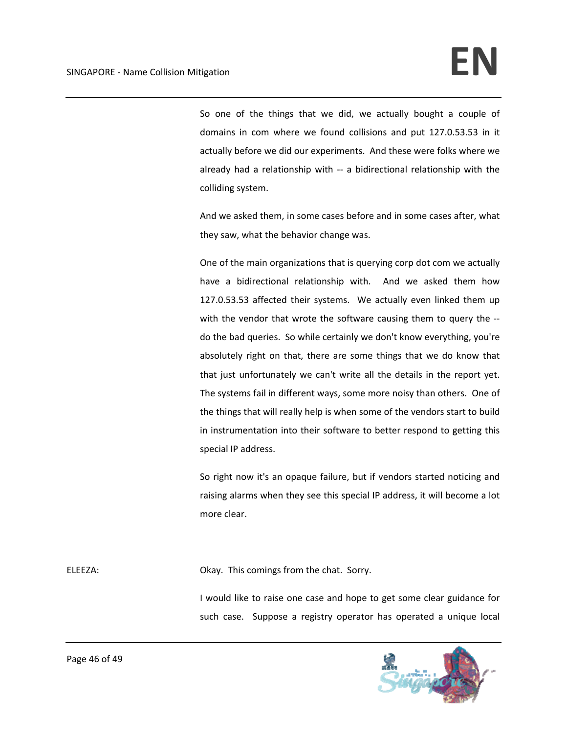So one of the things that we did, we actually bought a couple of domains in com where we found collisions and put 127.0.53.53 in it actually before we did our experiments. And these were folks where we already had a relationship with -- a bidirectional relationship with the colliding system.

And we asked them, in some cases before and in some cases after, what they saw, what the behavior change was.

One of the main organizations that is querying corp dot com we actually have a bidirectional relationship with. And we asked them how 127.0.53.53 affected their systems. We actually even linked them up with the vendor that wrote the software causing them to query the -do the bad queries. So while certainly we don't know everything, you're absolutely right on that, there are some things that we do know that that just unfortunately we can't write all the details in the report yet. The systems fail in different ways, some more noisy than others. One of the things that will really help is when some of the vendors start to build in instrumentation into their software to better respond to getting this special IP address.

So right now it's an opaque failure, but if vendors started noticing and raising alarms when they see this special IP address, it will become a lot more clear.

ELEEZA: CHATE: CHATE: CHATE: CHATE: CHATE: CHATE: CHATE: CHATE: CHATE: CHATE: CHATE: CHATE: CHATE: CHATE: CHATE: CHATE: CHATE: CHATE: CHATE: CHATE: CHATE: CHATE: CHATE: CHATE: CHATE: CHATE: CHATE: CHATE: CHATE: CHATE: CHAT

I would like to raise one case and hope to get some clear guidance for such case. Suppose a registry operator has operated a unique local

![](_page_45_Picture_8.jpeg)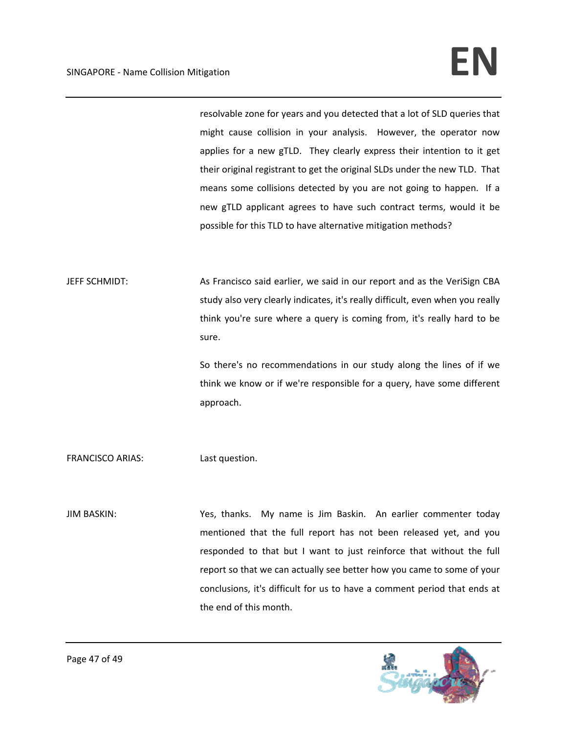resolvable zone for years and you detected that a lot of SLD queries that might cause collision in your analysis. However, the operator now applies for a new gTLD. They clearly express their intention to it get their original registrant to get the original SLDs under the new TLD. That means some collisions detected by you are not going to happen. If a new gTLD applicant agrees to have such contract terms, would it be possible for this TLD to have alternative mitigation methods?

JEFF SCHMIDT: As Francisco said earlier, we said in our report and as the VeriSign CBA study also very clearly indicates, it's really difficult, even when you really think you're sure where a query is coming from, it's really hard to be sure.

> So there's no recommendations in our study along the lines of if we think we know or if we're responsible for a query, have some different approach.

FRANCISCO ARIAS: Last question.

JIM BASKIN: Yes, thanks. My name is Jim Baskin. An earlier commenter today mentioned that the full report has not been released yet, and you responded to that but I want to just reinforce that without the full report so that we can actually see better how you came to some of your conclusions, it's difficult for us to have a comment period that ends at the end of this month.

![](_page_46_Picture_7.jpeg)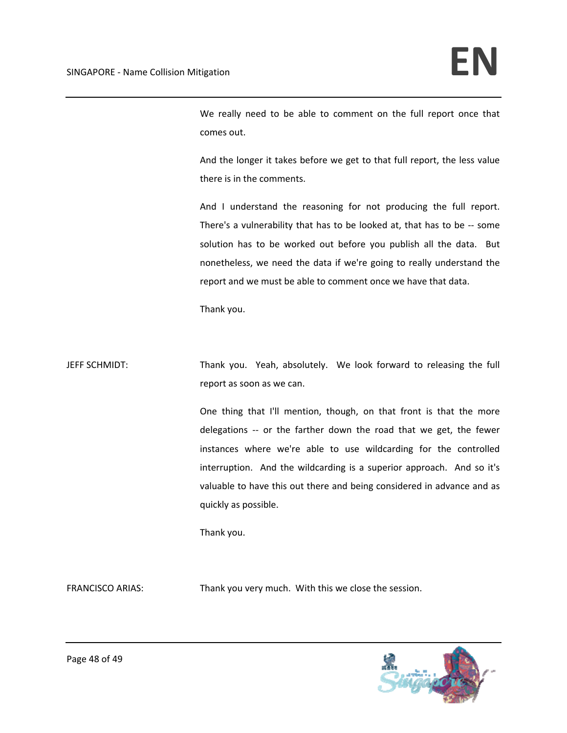We really need to be able to comment on the full report once that comes out.

And the longer it takes before we get to that full report, the less value there is in the comments.

And I understand the reasoning for not producing the full report. There's a vulnerability that has to be looked at, that has to be ‐‐ some solution has to be worked out before you publish all the data. But nonetheless, we need the data if we're going to really understand the report and we must be able to comment once we have that data.

Thank you.

JEFF SCHMIDT: Thank you. Yeah, absolutely. We look forward to releasing the full report as soon as we can.

> One thing that I'll mention, though, on that front is that the more delegations ‐‐ or the farther down the road that we get, the fewer instances where we're able to use wildcarding for the controlled interruption. And the wildcarding is a superior approach. And so it's valuable to have this out there and being considered in advance and as quickly as possible.

Thank you.

FRANCISCO ARIAS: Thank you very much. With this we close the session.

![](_page_47_Picture_10.jpeg)